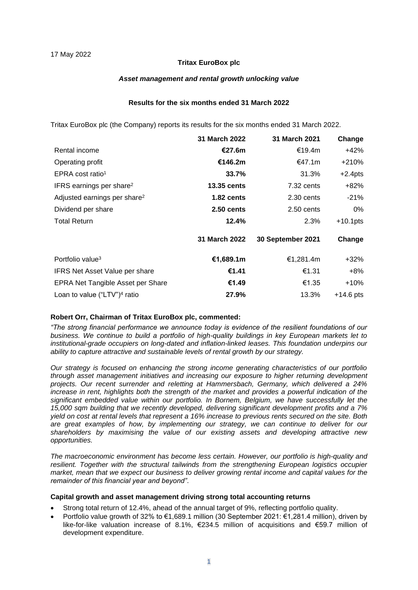#### **Tritax EuroBox plc**

#### *Asset management and rental growth unlocking value*

#### **Results for the six months ended 31 March 2022**

Tritax EuroBox plc (the Company) reports its results for the six months ended 31 March 2022.

|                                          | 31 March 2022        | 31 March 2021     | Change      |
|------------------------------------------|----------------------|-------------------|-------------|
| Rental income                            | €27.6m               | €19.4m            | +42%        |
| Operating profit                         | €146.2m              | €47.1m            | +210%       |
| EPRA cost ratio <sup>1</sup>             | 33.7%                | 31.3%             | $+2.4$ pts  |
| IFRS earnings per share <sup>2</sup>     | <b>13.35 cents</b>   | 7.32 cents        | +82%        |
| Adjusted earnings per share <sup>2</sup> | $1.82$ cents         | 2.30 cents        | $-21\%$     |
| Dividend per share                       | $2.50$ cents         | 2.50 cents        | 0%          |
| <b>Total Return</b>                      | 12.4%                | 2.3%              | $+10.1$ pts |
|                                          | <b>31 March 2022</b> | 30 September 2021 | Change      |
| Portfolio value <sup>3</sup>             | €1,689.1m            | €1,281.4m         | +32%        |
| IFRS Net Asset Value per share           | €1.41                | €1.31             | +8%         |
| EPRA Net Tangible Asset per Share        | €1.49                | €1.35             | $+10%$      |
| Loan to value ("LTV") $4$ ratio          | 27.9%                | 13.3%             | $+14.6$ pts |

#### **Robert Orr, Chairman of Tritax EuroBox plc, commented:**

*"The strong financial performance we announce today is evidence of the resilient foundations of our business. We continue to build a portfolio of high-quality buildings in key European markets let to institutional-grade occupiers on long-dated and inflation-linked leases. This foundation underpins our ability to capture attractive and sustainable levels of rental growth by our strategy.* 

*Our strategy is focused on enhancing the strong income generating characteristics of our portfolio through asset management initiatives and increasing our exposure to higher returning development projects. Our recent surrender and reletting at Hammersbach, Germany, which delivered a 24% increase in rent, highlights both the strength of the market and provides a powerful indication of the significant embedded value within our portfolio. In Bornem, Belgium, we have successfully let the 15,000 sqm building that we recently developed, delivering significant development profits and a 7% yield on cost at rental levels that represent a 16% increase to previous rents secured on the site. Both are great examples of how, by implementing our strategy, we can continue to deliver for our shareholders by maximising the value of our existing assets and developing attractive new opportunities.*

*The macroeconomic environment has become less certain. However, our portfolio is high-quality and resilient. Together with the structural tailwinds from the strengthening European logistics occupier market, mean that we expect our business to deliver growing rental income and capital values for the remainder of this financial year and beyond"*.

#### **Capital growth and asset management driving strong total accounting returns**

- Strong total return of 12.4%, ahead of the annual target of 9%, reflecting portfolio quality.
- Portfolio value growth of 32% to €1,689.1 million (30 September 2021: €1,281.4 million), driven by like-for-like valuation increase of 8.1%, €234.5 million of acquisitions and €59.7 million of development expenditure.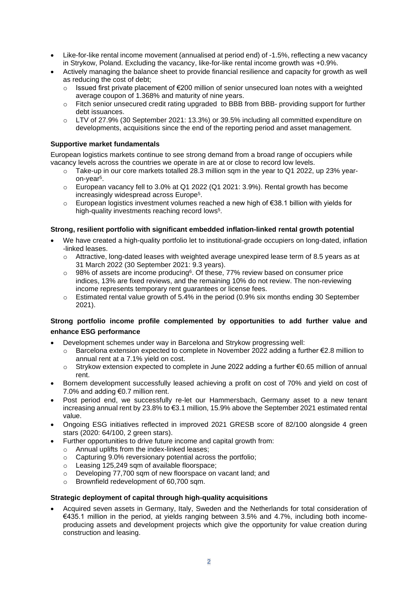- Like-for-like rental income movement (annualised at period end) of -1.5%, reflecting a new vacancy in Strykow, Poland. Excluding the vacancy, like-for-like rental income growth was +0.9%.
- Actively managing the balance sheet to provide financial resilience and capacity for growth as well as reducing the cost of debt;
	- o Issued first private placement of €200 million of senior unsecured loan notes with a weighted average coupon of 1.368% and maturity of nine years.
	- o Fitch senior unsecured credit rating upgraded to BBB from BBB- providing support for further debt issuances.
	- o LTV of 27.9% (30 September 2021: 13.3%) or 39.5% including all committed expenditure on developments, acquisitions since the end of the reporting period and asset management.

#### **Supportive market fundamentals**

European logistics markets continue to see strong demand from a broad range of occupiers while vacancy levels across the countries we operate in are at or close to record low levels.

- $\circ$  Take-up in our core markets totalled 28.3 million sqm in the year to Q1 2022, up 23% yearon-year<sup>5</sup> .
- $\circ$  European vacancy fell to 3.0% at Q1 2022 (Q1 2021: 3.9%). Rental growth has become increasingly widespread across Europe<sup>5</sup> .
- o European logistics investment volumes reached a new high of €38.1 billion with yields for high-quality investments reaching record lows<sup>5</sup>.

#### **Strong, resilient portfolio with significant embedded inflation-linked rental growth potential**

- We have created a high-quality portfolio let to institutional-grade occupiers on long-dated, inflation -linked leases.
	- $\circ$  Attractive, long-dated leases with weighted average unexpired lease term of 8.5 years as at 31 March 2022 (30 September 2021: 9.3 years).
	- $\circ$  98% of assets are income producing<sup>6</sup>. Of these, 77% review based on consumer price indices, 13% are fixed reviews, and the remaining 10% do not review. The non-reviewing income represents temporary rent guarantees or license fees.
	- $\circ$  Estimated rental value growth of 5.4% in the period (0.9% six months ending 30 September 2021).

## **Strong portfolio income profile complemented by opportunities to add further value and enhance ESG performance**

- Development schemes under way in Barcelona and Strykow progressing well:
	- o Barcelona extension expected to complete in November 2022 adding a further €2.8 million to annual rent at a 7.1% yield on cost.
	- o Strykow extension expected to complete in June 2022 adding a further €0.65 million of annual rent.
- Bornem development successfully leased achieving a profit on cost of 70% and yield on cost of 7.0% and adding €0.7 million rent.
- Post period end, we successfully re-let our Hammersbach, Germany asset to a new tenant increasing annual rent by 23.8% to €3.1 million, 15.9% above the September 2021 estimated rental value.
- Ongoing ESG initiatives reflected in improved 2021 GRESB score of 82/100 alongside 4 green stars (2020: 64/100, 2 green stars).
- Further opportunities to drive future income and capital growth from:
	- o Annual uplifts from the index-linked leases;
	- o Capturing 9.0% reversionary potential across the portfolio;
	- $\circ$  Leasing 125,249 sqm of available floorspace:
	- o Developing 77,700 sqm of new floorspace on vacant land; and
	- o Brownfield redevelopment of 60,700 sqm.

#### **Strategic deployment of capital through high-quality acquisitions**

• Acquired seven assets in Germany, Italy, Sweden and the Netherlands for total consideration of €435.1 million in the period, at yields ranging between 3.5% and 4.7%, including both incomeproducing assets and development projects which give the opportunity for value creation during construction and leasing.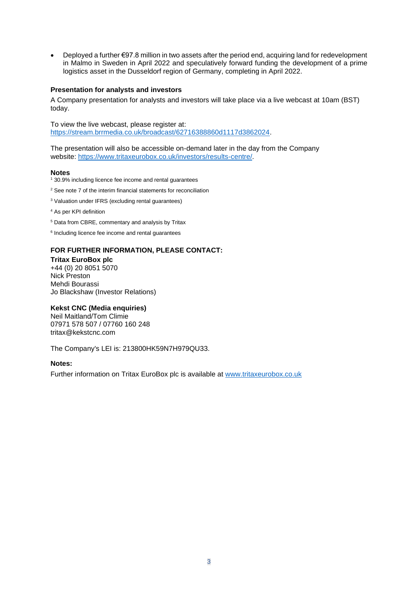• Deployed a further €97.8 million in two assets after the period end, acquiring land for redevelopment in Malmo in Sweden in April 2022 and speculatively forward funding the development of a prime logistics asset in the Dusseldorf region of Germany, completing in April 2022.

#### **Presentation for analysts and investors**

A Company presentation for analysts and investors will take place via a live webcast at 10am (BST) today.

To view the live webcast, please register at: [https://stream.brrmedia.co.uk/broadcast/62716388860d1117d3862024.](https://stream.brrmedia.co.uk/broadcast/62716388860d1117d3862024)

The presentation will also be accessible on-demand later in the day from the Company website: [https://www.tritaxeurobox.co.uk/investors/results-centre/.](https://www.tritaxeurobox.co.uk/investors/results-centre/)

#### **Notes**

- <sup>1</sup> 30.9% including licence fee income and rental guarantees
- <sup>2</sup> See note 7 of the interim financial statements for reconciliation
- <sup>3</sup> Valuation under IFRS (excluding rental guarantees)
- <sup>4</sup> As per KPI definition
- <sup>5</sup> Data from CBRE, commentary and analysis by Tritax
- 6 Including licence fee income and rental guarantees

# **FOR FURTHER INFORMATION, PLEASE CONTACT:**

**Tritax EuroBox plc** +44 (0) 20 8051 5070 Nick Preston Mehdi Bourassi Jo Blackshaw (Investor Relations)

#### **Kekst CNC (Media enquiries)**

Neil Maitland/Tom Climie 07971 578 507 / 07760 160 248 [tritax@kekstcnc.com](mailto:tritax@kekstcnc.com)

The Company's LEI is: 213800HK59N7H979QU33.

#### **Notes:**

Further information on Tritax EuroBox plc is available at [www.tritaxeurobox.co.uk](http://www.tritaxeurobox.co.uk/)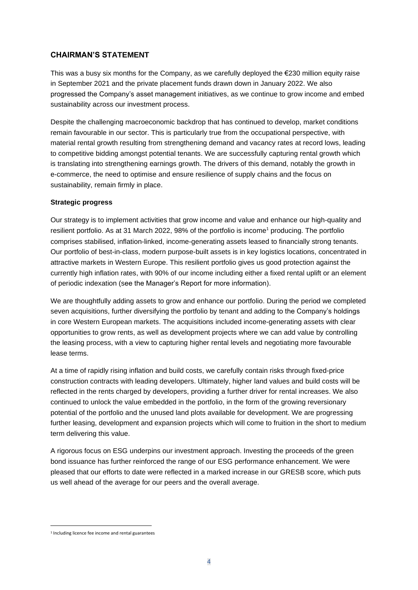## **CHAIRMAN'S STATEMENT**

This was a busy six months for the Company, as we carefully deployed the  $E$ 230 million equity raise in September 2021 and the private placement funds drawn down in January 2022. We also progressed the Company's asset management initiatives, as we continue to grow income and embed sustainability across our investment process.

Despite the challenging macroeconomic backdrop that has continued to develop, market conditions remain favourable in our sector. This is particularly true from the occupational perspective, with material rental growth resulting from strengthening demand and vacancy rates at record lows, leading to competitive bidding amongst potential tenants. We are successfully capturing rental growth which is translating into strengthening earnings growth. The drivers of this demand, notably the growth in e-commerce, the need to optimise and ensure resilience of supply chains and the focus on sustainability, remain firmly in place.

#### **Strategic progress**

Our strategy is to implement activities that grow income and value and enhance our high-quality and resilient portfolio. As at 31 March 2022, 98% of the portfolio is income<sup>1</sup> producing. The portfolio comprises stabilised, inflation-linked, income-generating assets leased to financially strong tenants. Our portfolio of best-in-class, modern purpose-built assets is in key logistics locations, concentrated in attractive markets in Western Europe. This resilient portfolio gives us good protection against the currently high inflation rates, with 90% of our income including either a fixed rental uplift or an element of periodic indexation (see the Manager's Report for more information).

We are thoughtfully adding assets to grow and enhance our portfolio. During the period we completed seven acquisitions, further diversifying the portfolio by tenant and adding to the Company's holdings in core Western European markets. The acquisitions included income-generating assets with clear opportunities to grow rents, as well as development projects where we can add value by controlling the leasing process, with a view to capturing higher rental levels and negotiating more favourable lease terms.

At a time of rapidly rising inflation and build costs, we carefully contain risks through fixed-price construction contracts with leading developers. Ultimately, higher land values and build costs will be reflected in the rents charged by developers, providing a further driver for rental increases. We also continued to unlock the value embedded in the portfolio, in the form of the growing reversionary potential of the portfolio and the unused land plots available for development. We are progressing further leasing, development and expansion projects which will come to fruition in the short to medium term delivering this value.

A rigorous focus on ESG underpins our investment approach. Investing the proceeds of the green bond issuance has further reinforced the range of our ESG performance enhancement. We were pleased that our efforts to date were reflected in a marked increase in our GRESB score, which puts us well ahead of the average for our peers and the overall average.

<sup>1</sup> Including licence fee income and rental guarantees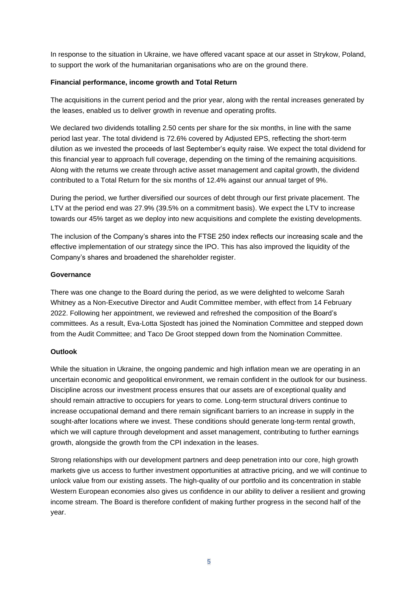In response to the situation in Ukraine, we have offered vacant space at our asset in Strykow, Poland, to support the work of the humanitarian organisations who are on the ground there.

#### **Financial performance, income growth and Total Return**

The acquisitions in the current period and the prior year, along with the rental increases generated by the leases, enabled us to deliver growth in revenue and operating profits.

We declared two dividends totalling 2.50 cents per share for the six months, in line with the same period last year. The total dividend is 72.6% covered by Adjusted EPS, reflecting the short-term dilution as we invested the proceeds of last September's equity raise. We expect the total dividend for this financial year to approach full coverage, depending on the timing of the remaining acquisitions. Along with the returns we create through active asset management and capital growth, the dividend contributed to a Total Return for the six months of 12.4% against our annual target of 9%.

During the period, we further diversified our sources of debt through our first private placement. The LTV at the period end was 27.9% (39.5% on a commitment basis). We expect the LTV to increase towards our 45% target as we deploy into new acquisitions and complete the existing developments.

The inclusion of the Company's shares into the FTSE 250 index reflects our increasing scale and the effective implementation of our strategy since the IPO. This has also improved the liquidity of the Company's shares and broadened the shareholder register.

#### **Governance**

There was one change to the Board during the period, as we were delighted to welcome Sarah Whitney as a Non-Executive Director and Audit Committee member, with effect from 14 February 2022. Following her appointment, we reviewed and refreshed the composition of the Board's committees. As a result, Eva-Lotta Sjostedt has joined the Nomination Committee and stepped down from the Audit Committee; and Taco De Groot stepped down from the Nomination Committee.

#### **Outlook**

While the situation in Ukraine, the ongoing pandemic and high inflation mean we are operating in an uncertain economic and geopolitical environment, we remain confident in the outlook for our business. Discipline across our investment process ensures that our assets are of exceptional quality and should remain attractive to occupiers for years to come. Long-term structural drivers continue to increase occupational demand and there remain significant barriers to an increase in supply in the sought-after locations where we invest. These conditions should generate long-term rental growth, which we will capture through development and asset management, contributing to further earnings growth, alongside the growth from the CPI indexation in the leases.

Strong relationships with our development partners and deep penetration into our core, high growth markets give us access to further investment opportunities at attractive pricing, and we will continue to unlock value from our existing assets. The high-quality of our portfolio and its concentration in stable Western European economies also gives us confidence in our ability to deliver a resilient and growing income stream. The Board is therefore confident of making further progress in the second half of the year.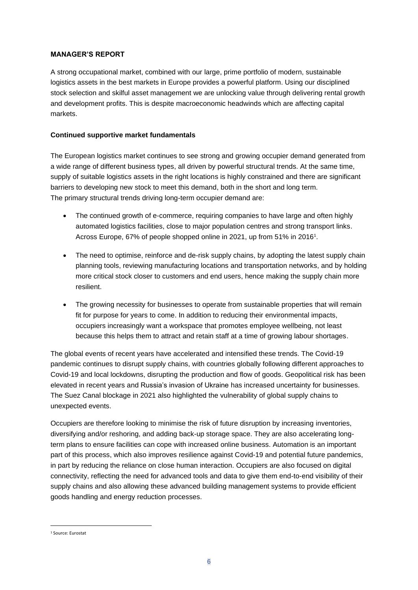### **MANAGER'S REPORT**

A strong occupational market, combined with our large, prime portfolio of modern, sustainable logistics assets in the best markets in Europe provides a powerful platform. Using our disciplined stock selection and skilful asset management we are unlocking value through delivering rental growth and development profits. This is despite macroeconomic headwinds which are affecting capital markets.

## **Continued supportive market fundamentals**

The European logistics market continues to see strong and growing occupier demand generated from a wide range of different business types, all driven by powerful structural trends. At the same time, supply of suitable logistics assets in the right locations is highly constrained and there are significant barriers to developing new stock to meet this demand, both in the short and long term. The primary structural trends driving long-term occupier demand are:

- The continued growth of e-commerce, requiring companies to have large and often highly automated logistics facilities, close to major population centres and strong transport links. Across Europe, 67% of people shopped online in 2021, up from 51% in 2016<sup>1</sup>.
- The need to optimise, reinforce and de-risk supply chains, by adopting the latest supply chain planning tools, reviewing manufacturing locations and transportation networks, and by holding more critical stock closer to customers and end users, hence making the supply chain more resilient.
- The growing necessity for businesses to operate from sustainable properties that will remain fit for purpose for years to come. In addition to reducing their environmental impacts, occupiers increasingly want a workspace that promotes employee wellbeing, not least because this helps them to attract and retain staff at a time of growing labour shortages.

The global events of recent years have accelerated and intensified these trends. The Covid-19 pandemic continues to disrupt supply chains, with countries globally following different approaches to Covid-19 and local lockdowns, disrupting the production and flow of goods. Geopolitical risk has been elevated in recent years and Russia's invasion of Ukraine has increased uncertainty for businesses. The Suez Canal blockage in 2021 also highlighted the vulnerability of global supply chains to unexpected events.

Occupiers are therefore looking to minimise the risk of future disruption by increasing inventories, diversifying and/or reshoring, and adding back-up storage space. They are also accelerating longterm plans to ensure facilities can cope with increased online business. Automation is an important part of this process, which also improves resilience against Covid-19 and potential future pandemics, in part by reducing the reliance on close human interaction. Occupiers are also focused on digital connectivity, reflecting the need for advanced tools and data to give them end-to-end visibility of their supply chains and also allowing these advanced building management systems to provide efficient goods handling and energy reduction processes.

<sup>1</sup> Source: Eurostat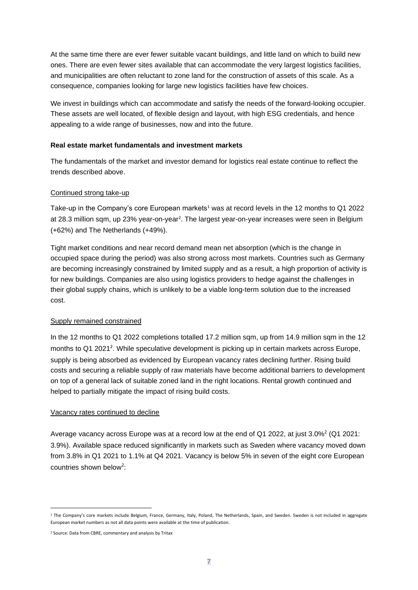At the same time there are ever fewer suitable vacant buildings, and little land on which to build new ones. There are even fewer sites available that can accommodate the very largest logistics facilities, and municipalities are often reluctant to zone land for the construction of assets of this scale. As a consequence, companies looking for large new logistics facilities have few choices.

We invest in buildings which can accommodate and satisfy the needs of the forward-looking occupier. These assets are well located, of flexible design and layout, with high ESG credentials, and hence appealing to a wide range of businesses, now and into the future.

#### **Real estate market fundamentals and investment markets**

The fundamentals of the market and investor demand for logistics real estate continue to reflect the trends described above.

#### Continued strong take-up

Take-up in the Company's core European markets<sup>1</sup> was at record levels in the 12 months to Q1 2022 at 28.3 million sqm, up 23% year-on-year<sup>2</sup>. The largest year-on-year increases were seen in Belgium (+62%) and The Netherlands (+49%).

Tight market conditions and near record demand mean net absorption (which is the change in occupied space during the period) was also strong across most markets. Countries such as Germany are becoming increasingly constrained by limited supply and as a result, a high proportion of activity is for new buildings. Companies are also using logistics providers to hedge against the challenges in their global supply chains, which is unlikely to be a viable long-term solution due to the increased cost.

#### Supply remained constrained

In the 12 months to Q1 2022 completions totalled 17.2 million sqm, up from 14.9 million sqm in the 12 months to Q1 2021<sup>2</sup>. While speculative development is picking up in certain markets across Europe, supply is being absorbed as evidenced by European vacancy rates declining further. Rising build costs and securing a reliable supply of raw materials have become additional barriers to development on top of a general lack of suitable zoned land in the right locations. Rental growth continued and helped to partially mitigate the impact of rising build costs.

#### Vacancy rates continued to decline

Average vacancy across Europe was at a record low at the end of Q1 2022, at just  $3.0\%^2$  (Q1 2021: 3.9%). Available space reduced significantly in markets such as Sweden where vacancy moved down from 3.8% in Q1 2021 to 1.1% at Q4 2021. Vacancy is below 5% in seven of the eight core European countries shown below<sup>2</sup>:

<sup>&</sup>lt;sup>1</sup> The Company's core markets include Belgium, France, Germany, Italy, Poland, The Netherlands, Spain, and Sweden. Sweden is not included in aggregate European market numbers as not all data points were available at the time of publication.

<sup>2</sup> Source: Data from CBRE, commentary and analysis by Tritax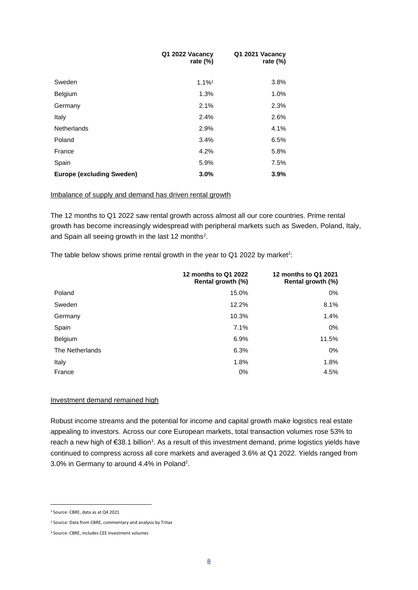|                                  | Q1 2022 Vacancy<br>rate $(\%)$ | Q1 2021 Vacancy<br>rate $(\%)$ |
|----------------------------------|--------------------------------|--------------------------------|
| Sweden                           | $1.1\%$ <sup>1</sup>           | 3.8%                           |
| Belgium                          | 1.3%                           | $1.0\%$                        |
| Germany                          | 2.1%                           | 2.3%                           |
| Italy                            | 2.4%                           | 2.6%                           |
| <b>Netherlands</b>               | 2.9%                           | 4.1%                           |
| Poland                           | 3.4%                           | 6.5%                           |
| France                           | 4.2%                           | 5.8%                           |
| Spain                            | 5.9%                           | 7.5%                           |
| <b>Europe (excluding Sweden)</b> | 3.0%                           | 3.9%                           |

#### Imbalance of supply and demand has driven rental growth

The 12 months to Q1 2022 saw rental growth across almost all our core countries. Prime rental growth has become increasingly widespread with peripheral markets such as Sweden, Poland, Italy, and Spain all seeing growth in the last 12 months<sup>2</sup>.

The table below shows prime rental growth in the year to Q1 2022 by market<sup>2</sup>:

|                 | 12 months to Q1 2022<br>Rental growth (%) | 12 months to Q1 2021<br>Rental growth (%) |
|-----------------|-------------------------------------------|-------------------------------------------|
| Poland          | 15.0%                                     | $0\%$                                     |
| Sweden          | 12.2%                                     | 8.1%                                      |
| Germany         | 10.3%                                     | 1.4%                                      |
| Spain           | 7.1%                                      | $0\%$                                     |
| Belgium         | 6.9%                                      | 11.5%                                     |
| The Netherlands | 6.3%                                      | $0\%$                                     |
| Italy           | 1.8%                                      | 1.8%                                      |
| France          | 0%                                        | 4.5%                                      |

#### Investment demand remained high

Robust income streams and the potential for income and capital growth make logistics real estate appealing to investors. Across our core European markets, total transaction volumes rose 53% to reach a new high of €38.1 billion<sup>3</sup>. As a result of this investment demand, prime logistics yields have continued to compress across all core markets and averaged 3.6% at Q1 2022. Yields ranged from 3.0% in Germany to around 4.4% in Poland<sup>2</sup>.

<sup>1</sup> Source: CBRE, data as at Q4 2021

<sup>2</sup> Source: Data from CBRE, commentary and analysis by Tritax

<sup>3</sup> Source: CBRE, includes CEE investment volumes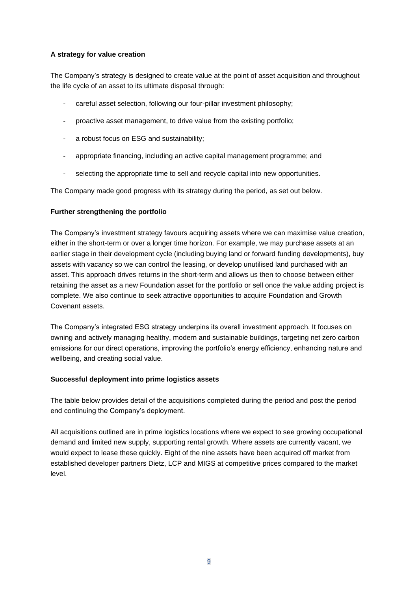# **A strategy for value creation**

The Company's strategy is designed to create value at the point of asset acquisition and throughout the life cycle of an asset to its ultimate disposal through:

- careful asset selection, following our four-pillar investment philosophy;
- proactive asset management, to drive value from the existing portfolio;
- a robust focus on ESG and sustainability;
- appropriate financing, including an active capital management programme; and
- selecting the appropriate time to sell and recycle capital into new opportunities.

The Company made good progress with its strategy during the period, as set out below.

## **Further strengthening the portfolio**

The Company's investment strategy favours acquiring assets where we can maximise value creation, either in the short-term or over a longer time horizon. For example, we may purchase assets at an earlier stage in their development cycle (including buying land or forward funding developments), buy assets with vacancy so we can control the leasing, or develop unutilised land purchased with an asset. This approach drives returns in the short-term and allows us then to choose between either retaining the asset as a new Foundation asset for the portfolio or sell once the value adding project is complete. We also continue to seek attractive opportunities to acquire Foundation and Growth Covenant assets.

The Company's integrated ESG strategy underpins its overall investment approach. It focuses on owning and actively managing healthy, modern and sustainable buildings, targeting net zero carbon emissions for our direct operations, improving the portfolio's energy efficiency, enhancing nature and wellbeing, and creating social value.

#### **Successful deployment into prime logistics assets**

The table below provides detail of the acquisitions completed during the period and post the period end continuing the Company's deployment.

All acquisitions outlined are in prime logistics locations where we expect to see growing occupational demand and limited new supply, supporting rental growth. Where assets are currently vacant, we would expect to lease these quickly. Eight of the nine assets have been acquired off market from established developer partners Dietz, LCP and MIGS at competitive prices compared to the market level.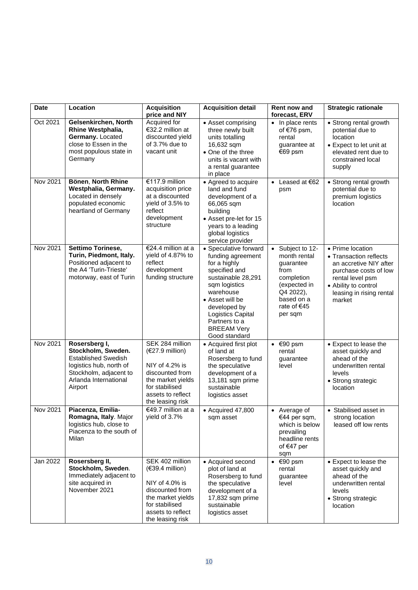| <b>Date</b> | Location                                                                                                                                                   | <b>Acquisition</b><br>price and NIY                                                                                                                       | <b>Acquisition detail</b>                                                                                                                                                                                                                       | <b>Rent now and</b><br>forecast, ERV                                                                                                                | <b>Strategic rationale</b>                                                                                                                                                      |
|-------------|------------------------------------------------------------------------------------------------------------------------------------------------------------|-----------------------------------------------------------------------------------------------------------------------------------------------------------|-------------------------------------------------------------------------------------------------------------------------------------------------------------------------------------------------------------------------------------------------|-----------------------------------------------------------------------------------------------------------------------------------------------------|---------------------------------------------------------------------------------------------------------------------------------------------------------------------------------|
| Oct 2021    | Gelsenkirchen, North<br>Rhine Westphalia,<br>Germany. Located<br>close to Essen in the<br>most populous state in<br>Germany                                | Acquired for<br>€32.2 million at<br>discounted yield<br>of 3.7% due to<br>vacant unit                                                                     | • Asset comprising<br>three newly built<br>units totalling<br>16,632 sqm<br>• One of the three<br>units is vacant with<br>a rental guarantee<br>in place                                                                                        | • In place rents<br>of €76 psm,<br>rental<br>guarantee at<br>€69 psm                                                                                | • Strong rental growth<br>potential due to<br>location<br>• Expect to let unit at<br>elevated rent due to<br>constrained local<br>supply                                        |
| Nov 2021    | Bönen, North Rhine<br>Westphalia, Germany.<br>Located in densely<br>populated economic<br>heartland of Germany                                             | €117.9 million<br>acquisition price<br>at a discounted<br>yield of 3.5% to<br>reflect<br>development<br>structure                                         | • Agreed to acquire<br>land and fund<br>development of a<br>66,065 sqm<br>building<br>• Asset pre-let for 15<br>years to a leading<br>global logistics<br>service provider                                                                      | • Leased at $62$<br>psm                                                                                                                             | • Strong rental growth<br>potential due to<br>premium logistics<br>location                                                                                                     |
| Nov 2021    | Settimo Torinese,<br>Turin, Piedmont, Italy.<br>Positioned adjacent to<br>the A4 'Turin-Trieste'<br>motorway, east of Turin                                | €24.4 million at a<br>yield of 4.87% to<br>reflect<br>development<br>funding structure                                                                    | • Speculative forward<br>funding agreement<br>for a highly<br>specified and<br>sustainable 28,291<br>sqm logistics<br>warehouse<br>• Asset will be<br>developed by<br>Logistics Capital<br>Partners to a<br><b>BREEAM Very</b><br>Good standard | Subject to 12-<br>$\bullet$<br>month rental<br>guarantee<br>from<br>completion<br>(expected in<br>Q4 2022),<br>based on a<br>rate of €45<br>per sqm | • Prime location<br>• Transaction reflects<br>an accretive NIY after<br>purchase costs of low<br>rental level psm<br>• Ability to control<br>leasing in rising rental<br>market |
| Nov 2021    | Rosersberg I,<br>Stockholm, Sweden.<br><b>Established Swedish</b><br>logistics hub, north of<br>Stockholm, adjacent to<br>Arlanda International<br>Airport | SEK 284 million<br>$(€27.9$ million)<br>NIY of 4.2% is<br>discounted from<br>the market yields<br>for stabilised<br>assets to reflect<br>the leasing risk | • Acquired first plot<br>of land at<br>Rosersberg to fund<br>the speculative<br>development of a<br>13,181 sqm prime<br>sustainable<br>logistics asset                                                                                          | $\bullet$ $\in$ 90 psm<br>rental<br>guarantee<br>level                                                                                              | • Expect to lease the<br>asset quickly and<br>ahead of the<br>underwritten rental<br>levels<br>• Strong strategic<br>location                                                   |
| Nov 2021    | Piacenza, Emilia-<br>Romagna, Italy. Major<br>logistics hub, close to<br>Piacenza to the south of<br>Milan                                                 | €49.7 million at a<br>yield of 3.7%                                                                                                                       | $\bullet$ Acquired 47,800<br>sqm asset                                                                                                                                                                                                          | • Average of<br>€44 per sqm,<br>which is below<br>prevailing<br>headline rents<br>of €47 per<br>sqm                                                 | • Stabilised asset in<br>strong location<br>leased off low rents                                                                                                                |
| Jan 2022    | Rosersberg II,<br>Stockholm, Sweden.<br>Immediately adjacent to<br>site acquired in<br>November 2021                                                       | SEK 402 million<br>$(€39.4$ million)<br>NIY of 4.0% is<br>discounted from<br>the market yields<br>for stabilised<br>assets to reflect<br>the leasing risk | • Acquired second<br>plot of land at<br>Rosersberg to fund<br>the speculative<br>development of a<br>17,832 sqm prime<br>sustainable<br>logistics asset                                                                                         | $\bullet$ $\in$ 90 psm<br>rental<br>guarantee<br>level                                                                                              | • Expect to lease the<br>asset quickly and<br>ahead of the<br>underwritten rental<br>levels<br>• Strong strategic<br>location                                                   |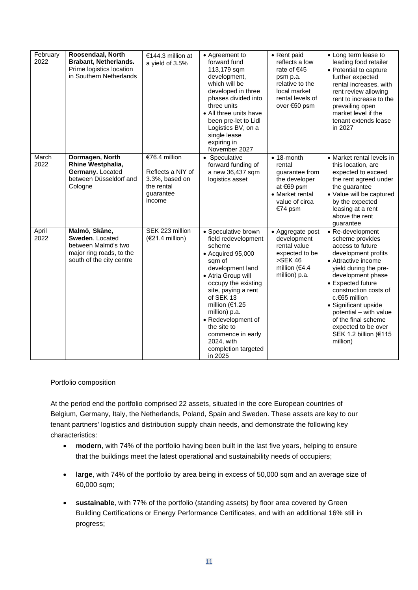| February<br>2022 | Roosendaal, North<br><b>Brabant, Netherlands.</b><br>Prime logistics location<br>in Southern Netherlands        | €144.3 million at<br>a yield of 3.5%                                                      | • Agreement to<br>forward fund<br>113,179 sqm<br>development,<br>which will be<br>developed in three<br>phases divided into<br>three units<br>• All three units have<br>been pre-let to Lidl<br>Logistics BV, on a<br>single lease<br>expiring in<br>November 2027                                                                            | • Rent paid<br>reflects a low<br>rate of €45<br>psm p.a.<br>relative to the<br>local market<br>rental levels of<br>over €50 psm | • Long term lease to<br>leading food retailer<br>• Potential to capture<br>further expected<br>rental increases, with<br>rent review allowing<br>rent to increase to the<br>prevailing open<br>market level if the<br>tenant extends lease<br>in 2027                                                                                                   |
|------------------|-----------------------------------------------------------------------------------------------------------------|-------------------------------------------------------------------------------------------|-----------------------------------------------------------------------------------------------------------------------------------------------------------------------------------------------------------------------------------------------------------------------------------------------------------------------------------------------|---------------------------------------------------------------------------------------------------------------------------------|---------------------------------------------------------------------------------------------------------------------------------------------------------------------------------------------------------------------------------------------------------------------------------------------------------------------------------------------------------|
| March<br>2022    | Dormagen, North<br>Rhine Westphalia,<br>Germany. Located<br>between Düsseldorf and<br>Cologne                   | €76.4 million<br>Reflects a NIY of<br>3.3%, based on<br>the rental<br>guarantee<br>income | • Speculative<br>forward funding of<br>a new 36,437 sqm<br>logistics asset                                                                                                                                                                                                                                                                    | $• 18$ -month<br>rental<br>guarantee from<br>the developer<br>at €69 psm<br>• Market rental<br>value of circa<br>€74 psm        | • Market rental levels in<br>this location, are<br>expected to exceed<br>the rent agreed under<br>the guarantee<br>• Value will be captured<br>by the expected<br>leasing at a rent<br>above the rent<br>guarantee                                                                                                                                      |
| April<br>2022    | Malmö, Skåne,<br>Sweden. Located<br>between Malmö's two<br>major ring roads, to the<br>south of the city centre | SEK 223 million<br>$(€21.4$ million)                                                      | • Speculative brown<br>field redevelopment<br>scheme<br>$\bullet$ Acquired 95,000<br>sqm of<br>development land<br>• Atria Group will<br>occupy the existing<br>site, paying a rent<br>of SEK 13<br>million (€1.25<br>million) p.a.<br>• Redevelopment of<br>the site to<br>commence in early<br>2024, with<br>completion targeted<br>in 2025 | • Aggregate post<br>development<br>rental value<br>expected to be<br>>SEK46<br>million (€4.4<br>million) p.a.                   | • Re-development<br>scheme provides<br>access to future<br>development profits<br>• Attractive income<br>yield during the pre-<br>development phase<br>• Expected future<br>construction costs of<br>c.€65 million<br>• Significant upside<br>potential - with value<br>of the final scheme<br>expected to be over<br>SEK 1.2 billion (€115<br>million) |

# Portfolio composition

At the period end the portfolio comprised 22 assets, situated in the core European countries of Belgium, Germany, Italy, the Netherlands, Poland, Spain and Sweden. These assets are key to our tenant partners' logistics and distribution supply chain needs, and demonstrate the following key characteristics:

- **modern**, with 74% of the portfolio having been built in the last five years, helping to ensure that the buildings meet the latest operational and sustainability needs of occupiers;
- **large**, with 74% of the portfolio by area being in excess of 50,000 sqm and an average size of 60,000 sqm;
- **sustainable**, with 77% of the portfolio (standing assets) by floor area covered by Green Building Certifications or Energy Performance Certificates, and with an additional 16% still in progress;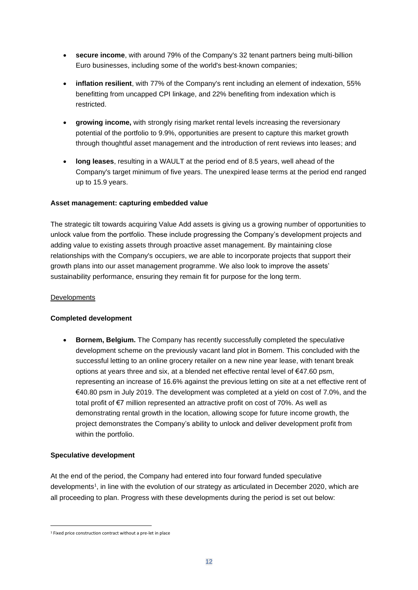- **secure income**, with around 79% of the Company's 32 tenant partners being multi-billion Euro businesses, including some of the world's best-known companies;
- **inflation resilient**, with 77% of the Company's rent including an element of indexation, 55% benefitting from uncapped CPI linkage, and 22% benefiting from indexation which is restricted.
- **growing income,** with strongly rising market rental levels increasing the reversionary potential of the portfolio to 9.9%, opportunities are present to capture this market growth through thoughtful asset management and the introduction of rent reviews into leases; and
- **long leases**, resulting in a WAULT at the period end of 8.5 years, well ahead of the Company's target minimum of five years. The unexpired lease terms at the period end ranged up to 15.9 years.

## **Asset management: capturing embedded value**

The strategic tilt towards acquiring Value Add assets is giving us a growing number of opportunities to unlock value from the portfolio. These include progressing the Company's development projects and adding value to existing assets through proactive asset management. By maintaining close relationships with the Company's occupiers, we are able to incorporate projects that support their growth plans into our asset management programme. We also look to improve the assets' sustainability performance, ensuring they remain fit for purpose for the long term.

#### **Developments**

#### **Completed development**

• **Bornem, Belgium.** The Company has recently successfully completed the speculative development scheme on the previously vacant land plot in Bornem. This concluded with the successful letting to an online grocery retailer on a new nine year lease, with tenant break options at years three and six, at a blended net effective rental level of €47.60 psm, representing an increase of 16.6% against the previous letting on site at a net effective rent of €40.80 psm in July 2019. The development was completed at a yield on cost of 7.0%, and the total profit of €7 million represented an attractive profit on cost of 70%. As well as demonstrating rental growth in the location, allowing scope for future income growth, the project demonstrates the Company's ability to unlock and deliver development profit from within the portfolio.

#### **Speculative development**

At the end of the period, the Company had entered into four forward funded speculative developments<sup>1</sup>, in line with the evolution of our strategy as articulated in December 2020, which are all proceeding to plan. Progress with these developments during the period is set out below:

<sup>1</sup> Fixed price construction contract without a pre-let in place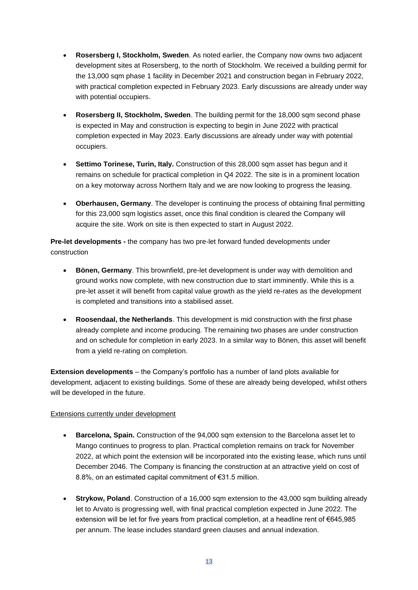- **Rosersberg I, Stockholm, Sweden**. As noted earlier, the Company now owns two adjacent development sites at Rosersberg, to the north of Stockholm. We received a building permit for the 13,000 sqm phase 1 facility in December 2021 and construction began in February 2022, with practical completion expected in February 2023. Early discussions are already under way with potential occupiers.
- **Rosersberg II, Stockholm, Sweden**. The building permit for the 18,000 sqm second phase is expected in May and construction is expecting to begin in June 2022 with practical completion expected in May 2023. Early discussions are already under way with potential occupiers.
- **Settimo Torinese, Turin, Italy.** Construction of this 28,000 sqm asset has begun and it remains on schedule for practical completion in Q4 2022. The site is in a prominent location on a key motorway across Northern Italy and we are now looking to progress the leasing.
- **Oberhausen, Germany**. The developer is continuing the process of obtaining final permitting for this 23,000 sqm logistics asset, once this final condition is cleared the Company will acquire the site. Work on site is then expected to start in August 2022.

**Pre-let developments -** the company has two pre-let forward funded developments under construction

- **Bönen, Germany**. This brownfield, pre-let development is under way with demolition and ground works now complete, with new construction due to start imminently. While this is a pre-let asset it will benefit from capital value growth as the yield re-rates as the development is completed and transitions into a stabilised asset.
- **Roosendaal, the Netherlands**. This development is mid construction with the first phase already complete and income producing. The remaining two phases are under construction and on schedule for completion in early 2023. In a similar way to Bönen, this asset will benefit from a yield re-rating on completion.

**Extension developments** – the Company's portfolio has a number of land plots available for development, adjacent to existing buildings. Some of these are already being developed, whilst others will be developed in the future.

#### Extensions currently under development

- **Barcelona, Spain.** Construction of the 94,000 sqm extension to the Barcelona asset let to Mango continues to progress to plan. Practical completion remains on track for November 2022, at which point the extension will be incorporated into the existing lease, which runs until December 2046. The Company is financing the construction at an attractive yield on cost of 8.8%, on an estimated capital commitment of €31.5 million.
- **Strykow, Poland**. Construction of a 16,000 sqm extension to the 43,000 sqm building already let to Arvato is progressing well, with final practical completion expected in June 2022. The extension will be let for five years from practical completion, at a headline rent of €645,985 per annum. The lease includes standard green clauses and annual indexation.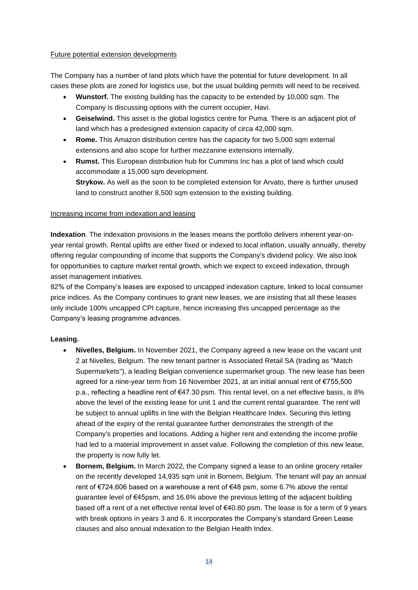#### Future potential extension developments

The Company has a number of land plots which have the potential for future development. In all cases these plots are zoned for logistics use, but the usual building permits will need to be received.

- **Wunstorf.** The existing building has the capacity to be extended by 10,000 sqm. The Company is discussing options with the current occupier, Havi.
- **Geiselwind.** This asset is the global logistics centre for Puma. There is an adjacent plot of land which has a predesigned extension capacity of circa 42,000 sqm.
- **Rome.** This Amazon distribution centre has the capacity for two 5,000 sqm external extensions and also scope for further mezzanine extensions internally.
- **Rumst.** This European distribution hub for Cummins Inc has a plot of land which could accommodate a 15,000 sqm development. **Strykow.** As well as the soon to be completed extension for Arvato, there is further unused land to construct another 8,500 sqm extension to the existing building.

#### Increasing income from indexation and leasing

**Indexation**. The indexation provisions in the leases means the portfolio delivers inherent year-onyear rental growth. Rental uplifts are either fixed or indexed to local inflation, usually annually, thereby offering regular compounding of income that supports the Company's dividend policy. We also look for opportunities to capture market rental growth, which we expect to exceed indexation, through asset management initiatives.

82% of the Company's leases are exposed to uncapped indexation capture, linked to local consumer price indices. As the Company continues to grant new leases, we are insisting that all these leases only include 100% uncapped CPI capture, hence increasing this uncapped percentage as the Company's leasing programme advances.

#### **Leasing.**

- **Nivelles, Belgium.** In November 2021, the Company agreed a new lease on the vacant unit 2 at Nivelles, Belgium. The new tenant partner is Associated Retail SA (trading as "Match Supermarkets"), a leading Belgian convenience supermarket group. The new lease has been agreed for a nine-year term from 16 November 2021, at an initial annual rent of €755,500 p.a., reflecting a headline rent of €47.30 psm. This rental level, on a net effective basis, is 8% above the level of the existing lease for unit 1 and the current rental guarantee. The rent will be subject to annual uplifts in line with the Belgian Healthcare Index. Securing this letting ahead of the expiry of the rental guarantee further demonstrates the strength of the Company's properties and locations. Adding a higher rent and extending the income profile had led to a material improvement in asset value. Following the completion of this new lease, the property is now fully let.
- **Bornem, Belgium.** In March 2022, the Company signed a lease to an online grocery retailer on the recently developed 14,935 sqm unit in Bornem, Belgium. The tenant will pay an annual rent of €724,606 based on a warehouse a rent of €48 psm, some 6.7% above the rental guarantee level of €45psm, and 16.6% above the previous letting of the adjacent building based off a rent of a net effective rental level of €40.80 psm. The lease is for a term of 9 years with break options in years 3 and 6. It incorporates the Company's standard Green Lease clauses and also annual indexation to the Belgian Health Index.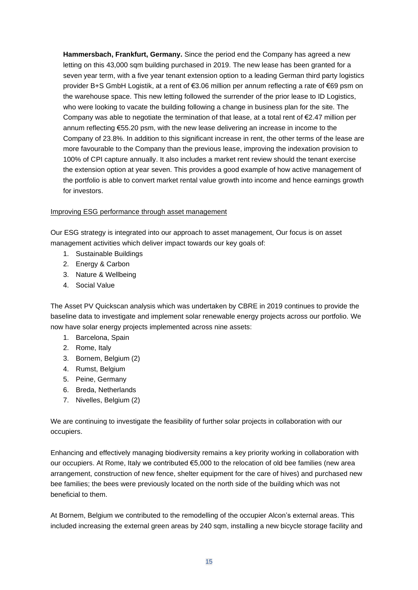**Hammersbach, Frankfurt, Germany.** Since the period end the Company has agreed a new letting on this 43,000 sqm building purchased in 2019. The new lease has been granted for a seven year term, with a five year tenant extension option to a leading German third party logistics provider B+S GmbH Logistik, at a rent of €3.06 million per annum reflecting a rate of €69 psm on the warehouse space. This new letting followed the surrender of the prior lease to ID Logistics, who were looking to vacate the building following a change in business plan for the site. The Company was able to negotiate the termination of that lease, at a total rent of  $\epsilon$ 2.47 million per annum reflecting €55.20 psm, with the new lease delivering an increase in income to the Company of 23.8%. In addition to this significant increase in rent, the other terms of the lease are more favourable to the Company than the previous lease, improving the indexation provision to 100% of CPI capture annually. It also includes a market rent review should the tenant exercise the extension option at year seven. This provides a good example of how active management of the portfolio is able to convert market rental value growth into income and hence earnings growth for investors.

## Improving ESG performance through asset management

Our ESG strategy is integrated into our approach to asset management, Our focus is on asset management activities which deliver impact towards our key goals of:

- 1. Sustainable Buildings
- 2. Energy & Carbon
- 3. Nature & Wellbeing
- 4. Social Value

The Asset PV Quickscan analysis which was undertaken by CBRE in 2019 continues to provide the baseline data to investigate and implement solar renewable energy projects across our portfolio. We now have solar energy projects implemented across nine assets:

- 1. Barcelona, Spain
- 2. Rome, Italy
- 3. Bornem, Belgium (2)
- 4. Rumst, Belgium
- 5. Peine, Germany
- 6. Breda, Netherlands
- 7. Nivelles, Belgium (2)

We are continuing to investigate the feasibility of further solar projects in collaboration with our occupiers.

Enhancing and effectively managing biodiversity remains a key priority working in collaboration with our occupiers. At Rome, Italy we contributed €5,000 to the relocation of old bee families (new area arrangement, construction of new fence, shelter equipment for the care of hives) and purchased new bee families; the bees were previously located on the north side of the building which was not beneficial to them.

At Bornem, Belgium we contributed to the remodelling of the occupier Alcon's external areas. This included increasing the external green areas by 240 sqm, installing a new bicycle storage facility and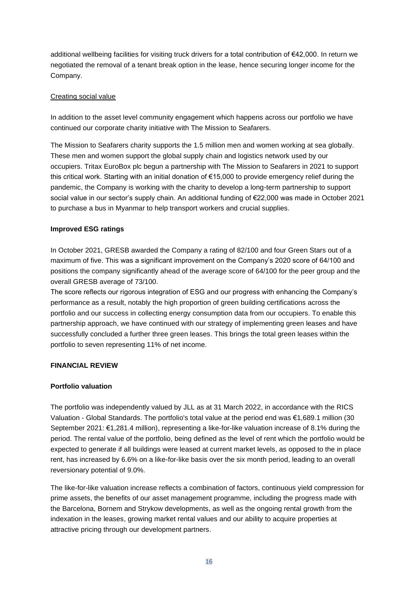additional wellbeing facilities for visiting truck drivers for a total contribution of €42,000. In return we negotiated the removal of a tenant break option in the lease, hence securing longer income for the Company.

## Creating social value

In addition to the asset level community engagement which happens across our portfolio we have continued our corporate charity initiative with The Mission to Seafarers.

The Mission to Seafarers charity supports the 1.5 million men and women working at sea globally. These men and women support the global supply chain and logistics network used by our occupiers. Tritax EuroBox plc begun a partnership with The Mission to Seafarers in 2021 to support this critical work. Starting with an initial donation of €15,000 to provide emergency relief during the pandemic, the Company is working with the charity to develop a long-term partnership to support social value in our sector's supply chain. An additional funding of €22,000 was made in October 2021 to purchase a bus in Myanmar to help transport workers and crucial supplies.

## **Improved ESG ratings**

In October 2021, GRESB awarded the Company a rating of 82/100 and four Green Stars out of a maximum of five. This was a significant improvement on the Company's 2020 score of 64/100 and positions the company significantly ahead of the average score of 64/100 for the peer group and the overall GRESB average of 73/100.

The score reflects our rigorous integration of ESG and our progress with enhancing the Company's performance as a result, notably the high proportion of green building certifications across the portfolio and our success in collecting energy consumption data from our occupiers. To enable this partnership approach, we have continued with our strategy of implementing green leases and have successfully concluded a further three green leases. This brings the total green leases within the portfolio to seven representing 11% of net income.

# **FINANCIAL REVIEW**

#### **Portfolio valuation**

The portfolio was independently valued by JLL as at 31 March 2022, in accordance with the RICS Valuation - Global Standards. The portfolio's total value at the period end was €1,689.1 million (30 September 2021: €1,281.4 million), representing a like-for-like valuation increase of 8.1% during the period. The rental value of the portfolio, being defined as the level of rent which the portfolio would be expected to generate if all buildings were leased at current market levels, as opposed to the in place rent, has increased by 6.6% on a like-for-like basis over the six month period, leading to an overall reversionary potential of 9.0%.

The like-for-like valuation increase reflects a combination of factors, continuous yield compression for prime assets, the benefits of our asset management programme, including the progress made with the Barcelona, Bornem and Strykow developments, as well as the ongoing rental growth from the indexation in the leases, growing market rental values and our ability to acquire properties at attractive pricing through our development partners.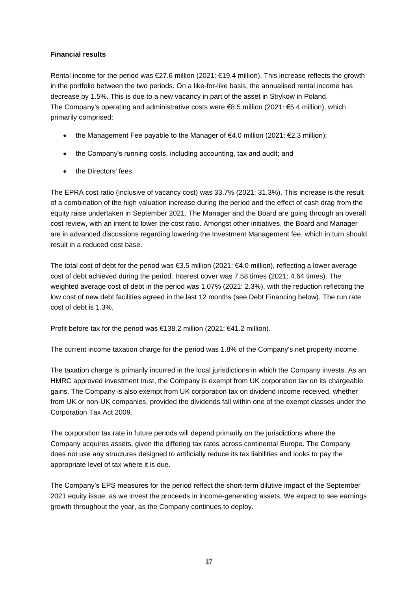# **Financial results**

Rental income for the period was €27.6 million (2021: €19.4 million). This increase reflects the growth in the portfolio between the two periods. On a like-for-like basis, the annualised rental income has decrease by 1.5%. This is due to a new vacancy in part of the asset in Strykow in Poland. The Company's operating and administrative costs were €8.5 million (2021: €5.4 million), which primarily comprised:

- the Management Fee payable to the Manager of  $€4.0$  million (2021:  $€2.3$  million);
- the Company's running costs, including accounting, tax and audit; and
- the Directors' fees.

The EPRA cost ratio (inclusive of vacancy cost) was 33.7% (2021: 31.3%). This increase is the result of a combination of the high valuation increase during the period and the effect of cash drag from the equity raise undertaken in September 2021. The Manager and the Board are going through an overall cost review, with an intent to lower the cost ratio. Amongst other initiatives, the Board and Manager are in advanced discussions regarding lowering the Investment Management fee, which in turn should result in a reduced cost base.

The total cost of debt for the period was €3.5 million (2021: €4.0 million), reflecting a lower average cost of debt achieved during the period. Interest cover was 7.58 times (2021: 4.64 times). The weighted average cost of debt in the period was 1.07% (2021: 2.3%), with the reduction reflecting the low cost of new debt facilities agreed in the last 12 months (see Debt Financing below). The run rate cost of debt is 1.3%.

Profit before tax for the period was €138.2 million (2021: €41.2 million).

The current income taxation charge for the period was 1.8% of the Company's net property income.

The taxation charge is primarily incurred in the local jurisdictions in which the Company invests. As an HMRC approved investment trust, the Company is exempt from UK corporation tax on its chargeable gains. The Company is also exempt from UK corporation tax on dividend income received, whether from UK or non-UK companies, provided the dividends fall within one of the exempt classes under the Corporation Tax Act 2009.

The corporation tax rate in future periods will depend primarily on the jurisdictions where the Company acquires assets, given the differing tax rates across continental Europe. The Company does not use any structures designed to artificially reduce its tax liabilities and looks to pay the appropriate level of tax where it is due.

The Company's EPS measures for the period reflect the short-term dilutive impact of the September 2021 equity issue, as we invest the proceeds in income-generating assets. We expect to see earnings growth throughout the year, as the Company continues to deploy.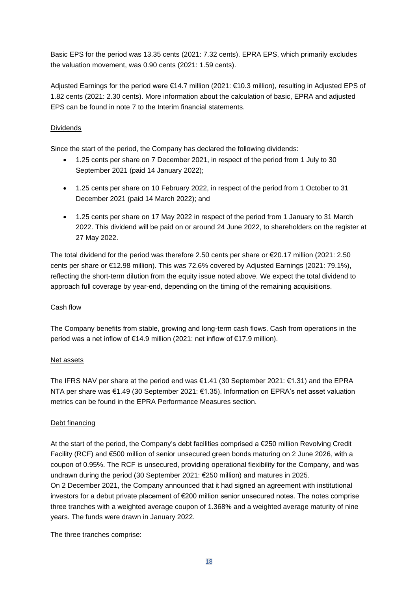Basic EPS for the period was 13.35 cents (2021: 7.32 cents). EPRA EPS, which primarily excludes the valuation movement, was 0.90 cents (2021: 1.59 cents).

Adjusted Earnings for the period were €14.7 million (2021: €10.3 million), resulting in Adjusted EPS of 1.82 cents (2021: 2.30 cents). More information about the calculation of basic, EPRA and adjusted EPS can be found in note 7 to the Interim financial statements.

# Dividends

Since the start of the period, the Company has declared the following dividends:

- 1.25 cents per share on 7 December 2021, in respect of the period from 1 July to 30 September 2021 (paid 14 January 2022);
- 1.25 cents per share on 10 February 2022, in respect of the period from 1 October to 31 December 2021 (paid 14 March 2022); and
- 1.25 cents per share on 17 May 2022 in respect of the period from 1 January to 31 March 2022. This dividend will be paid on or around 24 June 2022, to shareholders on the register at 27 May 2022.

The total dividend for the period was therefore 2.50 cents per share or  $\epsilon$ 20.17 million (2021: 2.50 cents per share or €12.98 million). This was 72.6% covered by Adjusted Earnings (2021: 79.1%), reflecting the short-term dilution from the equity issue noted above. We expect the total dividend to approach full coverage by year-end, depending on the timing of the remaining acquisitions.

# Cash flow

The Company benefits from stable, growing and long-term cash flows. Cash from operations in the period was a net inflow of €14.9 million (2021: net inflow of €17.9 million).

#### Net assets

The IFRS NAV per share at the period end was  $\epsilon$ 1.41 (30 September 2021:  $\epsilon$ 1.31) and the EPRA NTA per share was €1.49 (30 September 2021: €1.35). Information on EPRA's net asset valuation metrics can be found in the EPRA Performance Measures section.

# Debt financing

At the start of the period, the Company's debt facilities comprised a €250 million Revolving Credit Facility (RCF) and €500 million of senior unsecured green bonds maturing on 2 June 2026, with a coupon of 0.95%. The RCF is unsecured, providing operational flexibility for the Company, and was undrawn during the period (30 September 2021: €250 million) and matures in 2025. On 2 December 2021, the Company announced that it had signed an agreement with institutional investors for a debut private placement of €200 million senior unsecured notes. The notes comprise three tranches with a weighted average coupon of 1.368% and a weighted average maturity of nine years. The funds were drawn in January 2022.

The three tranches comprise: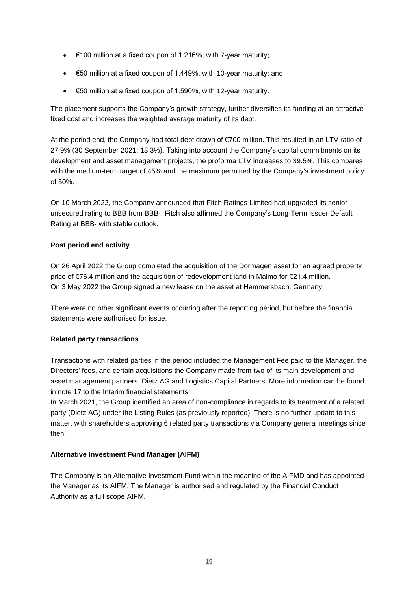- $\bullet\quad$   $\in$  100 million at a fixed coupon of 1.216%, with 7-year maturity;
- €50 million at a fixed coupon of 1.449%, with 10-year maturity; and
- €50 million at a fixed coupon of 1.590%, with 12-year maturity.

The placement supports the Company's growth strategy, further diversifies its funding at an attractive fixed cost and increases the weighted average maturity of its debt.

At the period end, the Company had total debt drawn of €700 million. This resulted in an LTV ratio of 27.9% (30 September 2021: 13.3%). Taking into account the Company's capital commitments on its development and asset management projects, the proforma LTV increases to 39.5%. This compares with the medium-term target of 45% and the maximum permitted by the Company's investment policy of 50%.

On 10 March 2022, the Company announced that Fitch Ratings Limited had upgraded its senior unsecured rating to BBB from BBB‐. Fitch also affirmed the Company's Long‐Term Issuer Default Rating at BBB‐ with stable outlook.

## **Post period end activity**

On 26 April 2022 the Group completed the acquisition of the Dormagen asset for an agreed property price of €76.4 million and the acquisition of redevelopment land in Malmo for €21.4 million. On 3 May 2022 the Group signed a new lease on the asset at Hammersbach, Germany.

There were no other significant events occurring after the reporting period, but before the financial statements were authorised for issue.

#### **Related party transactions**

Transactions with related parties in the period included the Management Fee paid to the Manager, the Directors' fees, and certain acquisitions the Company made from two of its main development and asset management partners, Dietz AG and Logistics Capital Partners. More information can be found in note 17 to the Interim financial statements.

In March 2021, the Group identified an area of non-compliance in regards to its treatment of a related party (Dietz AG) under the Listing Rules (as previously reported). There is no further update to this matter, with shareholders approving 6 related party transactions via Company general meetings since then.

#### **Alternative Investment Fund Manager (AIFM)**

The Company is an Alternative Investment Fund within the meaning of the AIFMD and has appointed the Manager as its AIFM. The Manager is authorised and regulated by the Financial Conduct Authority as a full scope AIFM.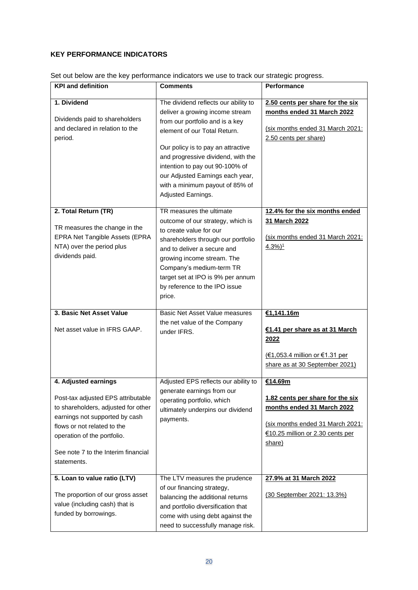# **KEY PERFORMANCE INDICATORS**

| <b>KPI and definition</b>                                                                                                                                                                                                                               | <b>Comments</b>                                                                                                                                                                                                                                                                                                                                        | Performance                                                                                                                                                 |
|---------------------------------------------------------------------------------------------------------------------------------------------------------------------------------------------------------------------------------------------------------|--------------------------------------------------------------------------------------------------------------------------------------------------------------------------------------------------------------------------------------------------------------------------------------------------------------------------------------------------------|-------------------------------------------------------------------------------------------------------------------------------------------------------------|
| 1. Dividend<br>Dividends paid to shareholders<br>and declared in relation to the<br>period.                                                                                                                                                             | The dividend reflects our ability to<br>deliver a growing income stream<br>from our portfolio and is a key<br>element of our Total Return.<br>Our policy is to pay an attractive<br>and progressive dividend, with the<br>intention to pay out 90-100% of<br>our Adjusted Earnings each year,<br>with a minimum payout of 85% of<br>Adjusted Earnings. | 2.50 cents per share for the six<br>months ended 31 March 2022<br>(six months ended 31 March 2021:<br>2.50 cents per share)                                 |
| 2. Total Return (TR)<br>TR measures the change in the<br>EPRA Net Tangible Assets (EPRA<br>NTA) over the period plus<br>dividends paid.                                                                                                                 | TR measures the ultimate<br>outcome of our strategy, which is<br>to create value for our<br>shareholders through our portfolio<br>and to deliver a secure and<br>growing income stream. The<br>Company's medium-term TR<br>target set at IPO is 9% per annum<br>by reference to the IPO issue<br>price.                                                | 12.4% for the six months ended<br>31 March 2022<br>(six months ended 31 March 2021:<br>$4.3\%)$ <sup>1</sup>                                                |
| 3. Basic Net Asset Value<br>Net asset value in IFRS GAAP.                                                                                                                                                                                               | <b>Basic Net Asset Value measures</b><br>the net value of the Company<br>under IFRS.                                                                                                                                                                                                                                                                   | €1,141.16m<br>€1.41 per share as at 31 March<br>2022<br>(€1,053.4 million or €1.31 per<br>share as at 30 September 2021)                                    |
| 4. Adjusted earnings<br>Post-tax adjusted EPS attributable<br>to shareholders, adjusted for other<br>earnings not supported by cash<br>flows or not related to the<br>operation of the portfolio.<br>See note 7 to the Interim financial<br>statements. | Adjusted EPS reflects our ability to<br>generate earnings from our<br>operating portfolio, which<br>ultimately underpins our dividend<br>payments.                                                                                                                                                                                                     | €14.69m<br>1.82 cents per share for the six<br>months ended 31 March 2022<br>(six months ended 31 March 2021:<br>€10.25 million or 2.30 cents per<br>share) |
| 5. Loan to value ratio (LTV)<br>The proportion of our gross asset<br>value (including cash) that is<br>funded by borrowings.                                                                                                                            | The LTV measures the prudence<br>of our financing strategy,<br>balancing the additional returns<br>and portfolio diversification that<br>come with using debt against the<br>need to successfully manage risk.                                                                                                                                         | 27.9% at 31 March 2022<br>(30 September 2021: 13.3%)                                                                                                        |

Set out below are the key performance indicators we use to track our strategic progress.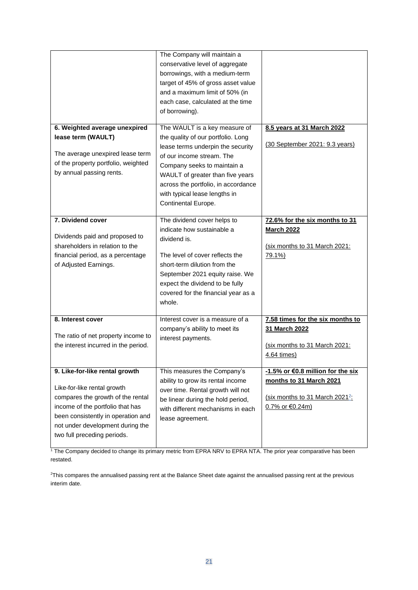|                                                                         | The Company will maintain a<br>conservative level of aggregate       |                                             |
|-------------------------------------------------------------------------|----------------------------------------------------------------------|---------------------------------------------|
|                                                                         | borrowings, with a medium-term<br>target of 45% of gross asset value |                                             |
|                                                                         | and a maximum limit of 50% (in                                       |                                             |
|                                                                         | each case, calculated at the time                                    |                                             |
|                                                                         | of borrowing).                                                       |                                             |
| 6. Weighted average unexpired                                           | The WAULT is a key measure of                                        | 8.5 years at 31 March 2022                  |
| lease term (WAULT)                                                      | the quality of our portfolio. Long                                   |                                             |
|                                                                         | lease terms underpin the security                                    | (30 September 2021: 9.3 years)              |
| The average unexpired lease term<br>of the property portfolio, weighted | of our income stream. The                                            |                                             |
| by annual passing rents.                                                | Company seeks to maintain a                                          |                                             |
|                                                                         | WAULT of greater than five years                                     |                                             |
|                                                                         | across the portfolio, in accordance<br>with typical lease lengths in |                                             |
|                                                                         | Continental Europe.                                                  |                                             |
|                                                                         |                                                                      |                                             |
| 7. Dividend cover                                                       | The dividend cover helps to                                          | 72.6% for the six months to 31              |
|                                                                         | indicate how sustainable a                                           | <b>March 2022</b>                           |
| Dividends paid and proposed to                                          | dividend is.                                                         |                                             |
| shareholders in relation to the                                         |                                                                      | (six months to 31 March 2021:               |
| financial period, as a percentage                                       | The level of cover reflects the<br>short-term dilution from the      | 79.1%)                                      |
| of Adjusted Earnings.                                                   | September 2021 equity raise. We                                      |                                             |
|                                                                         | expect the dividend to be fully                                      |                                             |
|                                                                         | covered for the financial year as a                                  |                                             |
|                                                                         | whole.                                                               |                                             |
|                                                                         |                                                                      |                                             |
| 8. Interest cover                                                       | Interest cover is a measure of a                                     | 7.58 times for the six months to            |
| The ratio of net property income to                                     | company's ability to meet its                                        | 31 March 2022                               |
| the interest incurred in the period.                                    | interest payments.                                                   | (six months to 31 March 2021:               |
|                                                                         |                                                                      | 4.64 times)                                 |
|                                                                         |                                                                      |                                             |
| 9. Like-for-like rental growth                                          | This measures the Company's                                          | -1.5% or €0.8 million for the six           |
|                                                                         | ability to grow its rental income                                    | months to 31 March 2021                     |
| Like-for-like rental growth<br>compares the growth of the rental        | over time. Rental growth will not                                    | (six months to 31 March 2021 <sup>2</sup> : |
| income of the portfolio that has                                        | be linear during the hold period,                                    | 0.7% or €0.24m)                             |
| been consistently in operation and                                      | with different mechanisms in each                                    |                                             |
| not under development during the                                        | lease agreement.                                                     |                                             |
| two full preceding periods.                                             |                                                                      |                                             |
|                                                                         |                                                                      |                                             |

<sup>1</sup> The Company decided to change its primary metric from EPRA NRV to EPRA NTA. The prior year comparative has been restated.

<sup>2</sup>This compares the annualised passing rent at the Balance Sheet date against the annualised passing rent at the previous interim date.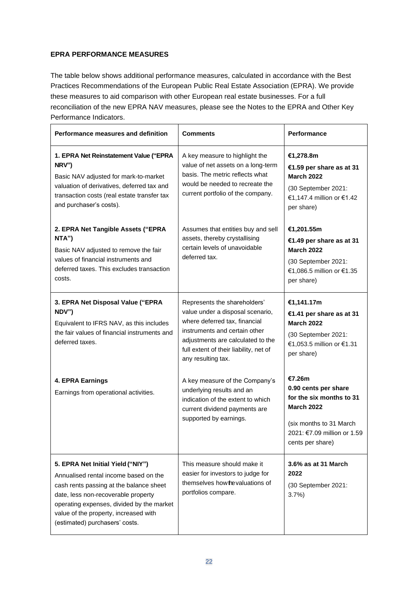# **EPRA PERFORMANCE MEASURES**

The table below shows additional performance measures, calculated in accordance with the Best Practices Recommendations of the European Public Real Estate Association (EPRA). We provide these measures to aid comparison with other European real estate businesses. For a full reconciliation of the new EPRA NAV measures, please see the Notes to the EPRA and Other Key Performance Indicators.

| <b>Performance measures and definition</b>                                                                                                                                                                                                                                           | <b>Comments</b>                                                                                                                                                                                                                         | <b>Performance</b>                                                                                                                                            |
|--------------------------------------------------------------------------------------------------------------------------------------------------------------------------------------------------------------------------------------------------------------------------------------|-----------------------------------------------------------------------------------------------------------------------------------------------------------------------------------------------------------------------------------------|---------------------------------------------------------------------------------------------------------------------------------------------------------------|
| 1. EPRA Net Reinstatement Value ("EPRA<br>NRV")<br>Basic NAV adjusted for mark-to-market<br>valuation of derivatives, deferred tax and<br>transaction costs (real estate transfer tax<br>and purchaser's costs).                                                                     | A key measure to highlight the<br>value of net assets on a long-term<br>basis. The metric reflects what<br>would be needed to recreate the<br>current portfolio of the company.                                                         | €1,278.8m<br>€1.59 per share as at 31<br><b>March 2022</b><br>(30 September 2021:<br>€1,147.4 million or €1.42<br>per share)                                  |
| 2. EPRA Net Tangible Assets ("EPRA<br>NTA")<br>Basic NAV adjusted to remove the fair<br>values of financial instruments and<br>deferred taxes. This excludes transaction<br>costs.                                                                                                   | Assumes that entities buy and sell<br>assets, thereby crystallising<br>certain levels of unavoidable<br>deferred tax.                                                                                                                   | €1,201.55m<br>€1.49 per share as at 31<br><b>March 2022</b><br>(30 September 2021:<br>€1,086.5 million or €1.35<br>per share)                                 |
| 3. EPRA Net Disposal Value ("EPRA<br>NDV")<br>Equivalent to IFRS NAV, as this includes<br>the fair values of financial instruments and<br>deferred taxes.                                                                                                                            | Represents the shareholders'<br>value under a disposal scenario,<br>where deferred tax, financial<br>instruments and certain other<br>adjustments are calculated to the<br>full extent of their liability, net of<br>any resulting tax. | €1,141.17m<br>€1.41 per share as at 31<br><b>March 2022</b><br>(30 September 2021:<br>€1,053.5 million or €1.31<br>per share)                                 |
| 4. EPRA Earnings<br>Earnings from operational activities.                                                                                                                                                                                                                            | A key measure of the Company's<br>underlying results and an<br>indication of the extent to which<br>current dividend payments are<br>supported by earnings.                                                                             | €7.26m<br>0.90 cents per share<br>for the six months to 31<br><b>March 2022</b><br>(six months to 31 March<br>2021: €7.09 million or 1.59<br>cents per share) |
| 5. EPRA Net Initial Yield ("NIY")<br>Annualised rental income based on the<br>cash rents passing at the balance sheet<br>date, less non-recoverable property<br>operating expenses, divided by the market<br>value of the property, increased with<br>(estimated) purchasers' costs. | This measure should make it<br>easier for investors to judge for<br>themselves how the valuations of<br>portfolios compare.                                                                                                             | 3.6% as at 31 March<br>2022<br>(30 September 2021:<br>3.7%                                                                                                    |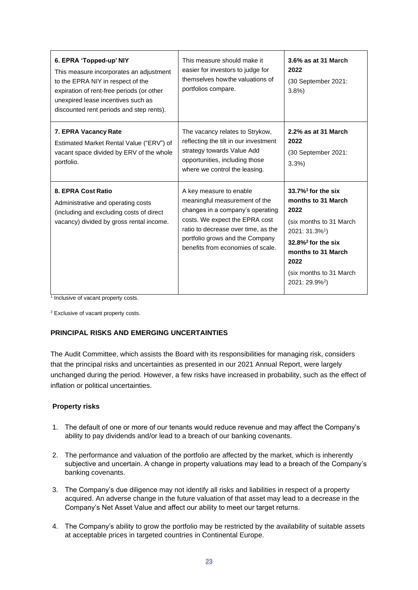| 6. EPRA 'Topped-up' NIY<br>This measure incorporates an adjustment<br>to the EPRA NIY in respect of the<br>expiration of rent-free periods (or other<br>unexpired lease incentives such as<br>discounted rent periods and step rents). | This measure should make it<br>easier for investors to judge for<br>themselves how the valuations of<br>portfolios compare.                                                                                                                   | 3.6% as at 31 March<br>2022<br>(30 September 2021:<br>3.8%                                                                                                                                                                                               |
|----------------------------------------------------------------------------------------------------------------------------------------------------------------------------------------------------------------------------------------|-----------------------------------------------------------------------------------------------------------------------------------------------------------------------------------------------------------------------------------------------|----------------------------------------------------------------------------------------------------------------------------------------------------------------------------------------------------------------------------------------------------------|
| 7. EPRA Vacancy Rate<br>Estimated Market Rental Value ("ERV") of<br>vacant space divided by ERV of the whole<br>portfolio.                                                                                                             | The vacancy relates to Strykow,<br>reflecting the tilt in our investment<br>strategy towards Value Add<br>opportunities, including those<br>where we control the leasing.                                                                     | 2.2% as at 31 March<br>2022<br>(30 September 2021:<br>3.3%                                                                                                                                                                                               |
| 8. EPRA Cost Ratio<br>Administrative and operating costs<br>(including and excluding costs of direct<br>vacancy) divided by gross rental income.                                                                                       | A key measure to enable<br>meaningful measurement of the<br>changes in a company's operating<br>costs. We expect the EPRA cost<br>ratio to decrease over time, as the<br>portfolio grows and the Company<br>benefits from economies of scale. | $33.7\%$ <sup>1</sup> for the six<br>months to 31 March<br>2022<br>(six months to 31 March)<br>2021: 31.3% <sup>1</sup> )<br>$32.8\%$ <sup>2</sup> for the six<br>months to 31 March<br>2022<br>(six months to 31 March)<br>$2021:29.9\%$ <sup>2</sup> ) |

<sup>1</sup> Inclusive of vacant property costs.

<sup>2</sup> Exclusive of vacant property costs.

#### **PRINCIPAL RISKS AND EMERGING UNCERTAINTIES**

The Audit Committee, which assists the Board with its responsibilities for managing risk, considers that the principal risks and uncertainties as presented in our 2021 Annual Report, were largely unchanged during the period. However, a few risks have increased in probability, such as the effect of inflation or political uncertainties.

#### **Property risks**

- 1. The default of one or more of our tenants would reduce revenue and may affect the Company's ability to pay dividends and/or lead to a breach of our banking covenants.
- 2. The performance and valuation of the portfolio are affected by the market, which is inherently subjective and uncertain. A change in property valuations may lead to a breach of the Company's banking covenants.
- 3. The Company's due diligence may not identify all risks and liabilities in respect of a property acquired. An adverse change in the future valuation of that asset may lead to a decrease in the Company's Net Asset Value and affect our ability to meet our target returns.
- 4. The Company's ability to grow the portfolio may be restricted by the availability of suitable assets at acceptable prices in targeted countries in Continental Europe.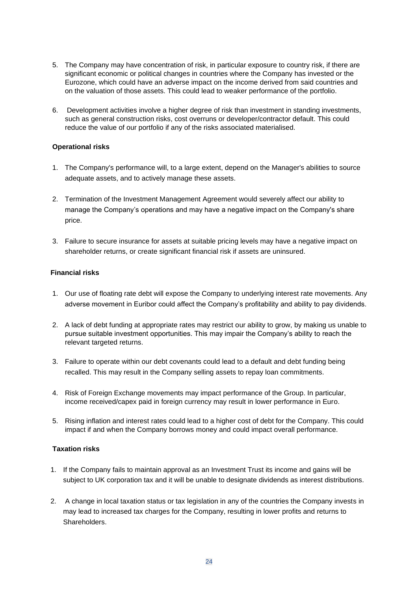- 5. The Company may have concentration of risk, in particular exposure to country risk, if there are significant economic or political changes in countries where the Company has invested or the Eurozone, which could have an adverse impact on the income derived from said countries and on the valuation of those assets. This could lead to weaker performance of the portfolio.
- 6. Development activities involve a higher degree of risk than investment in standing investments, such as general construction risks, cost overruns or developer/contractor default. This could reduce the value of our portfolio if any of the risks associated materialised.

#### **Operational risks**

- 1. The Company's performance will, to a large extent, depend on the Manager's abilities to source adequate assets, and to actively manage these assets.
- 2. Termination of the Investment Management Agreement would severely affect our ability to manage the Company's operations and may have a negative impact on the Company's share price.
- 3. Failure to secure insurance for assets at suitable pricing levels may have a negative impact on shareholder returns, or create significant financial risk if assets are uninsured.

# **Financial risks**

- 1. Our use of floating rate debt will expose the Company to underlying interest rate movements. Any adverse movement in Euribor could affect the Company's profitability and ability to pay dividends.
- 2. A lack of debt funding at appropriate rates may restrict our ability to grow, by making us unable to pursue suitable investment opportunities. This may impair the Company's ability to reach the relevant targeted returns.
- 3. Failure to operate within our debt covenants could lead to a default and debt funding being recalled. This may result in the Company selling assets to repay loan commitments.
- 4. Risk of Foreign Exchange movements may impact performance of the Group. In particular, income received/capex paid in foreign currency may result in lower performance in Euro.
- 5. Rising inflation and interest rates could lead to a higher cost of debt for the Company. This could impact if and when the Company borrows money and could impact overall performance.

#### **Taxation risks**

- 1. If the Company fails to maintain approval as an Investment Trust its income and gains will be subject to UK corporation tax and it will be unable to designate dividends as interest distributions.
- 2. A change in local taxation status or tax legislation in any of the countries the Company invests in may lead to increased tax charges for the Company, resulting in lower profits and returns to **Shareholders**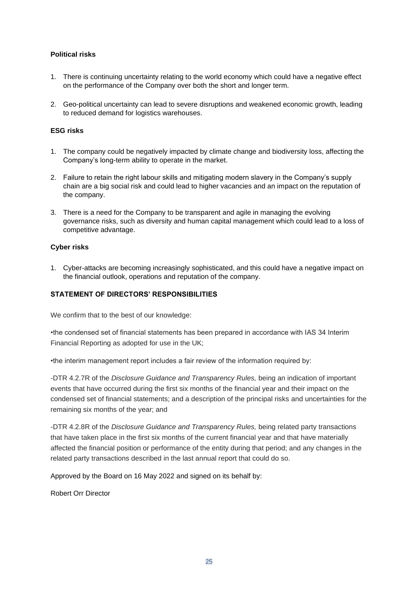## **Political risks**

- 1. There is continuing uncertainty relating to the world economy which could have a negative effect on the performance of the Company over both the short and longer term.
- 2. Geo-political uncertainty can lead to severe disruptions and weakened economic growth, leading to reduced demand for logistics warehouses.

#### **ESG risks**

- 1. The company could be negatively impacted by climate change and biodiversity loss, affecting the Company's long-term ability to operate in the market.
- 2. Failure to retain the right labour skills and mitigating modern slavery in the Company's supply chain are a big social risk and could lead to higher vacancies and an impact on the reputation of the company.
- 3. There is a need for the Company to be transparent and agile in managing the evolving governance risks, such as diversity and human capital management which could lead to a loss of competitive advantage.

#### **Cyber risks**

1. Cyber-attacks are becoming increasingly sophisticated, and this could have a negative impact on the financial outlook, operations and reputation of the company.

#### **STATEMENT OF DIRECTORS' RESPONSIBILITIES**

We confirm that to the best of our knowledge:

•the condensed set of financial statements has been prepared in accordance with IAS 34 Interim Financial Reporting as adopted for use in the UK;

•the interim management report includes a fair review of the information required by:

-DTR 4.2.7R of the *Disclosure Guidance and Transparency Rules,* being an indication of important events that have occurred during the first six months of the financial year and their impact on the condensed set of financial statements; and a description of the principal risks and uncertainties for the remaining six months of the year; and

-DTR 4.2.8R of the *Disclosure Guidance and Transparency Rules,* being related party transactions that have taken place in the first six months of the current financial year and that have materially affected the financial position or performance of the entity during that period; and any changes in the related party transactions described in the last annual report that could do so.

Approved by the Board on 16 May 2022 and signed on its behalf by:

Robert Orr Director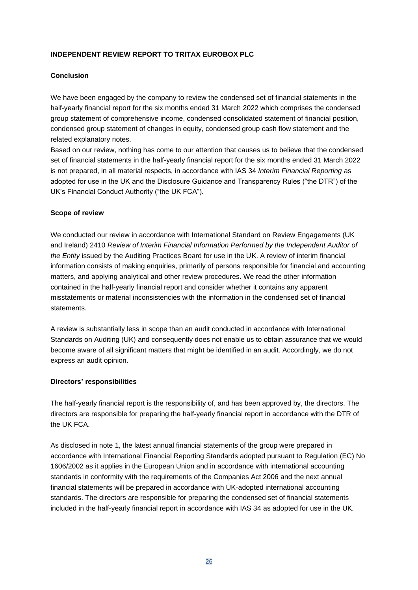# **INDEPENDENT REVIEW REPORT TO TRITAX EUROBOX PLC**

#### **Conclusion**

We have been engaged by the company to review the condensed set of financial statements in the half-yearly financial report for the six months ended 31 March 2022 which comprises the condensed group statement of comprehensive income, condensed consolidated statement of financial position, condensed group statement of changes in equity, condensed group cash flow statement and the related explanatory notes.

Based on our review, nothing has come to our attention that causes us to believe that the condensed set of financial statements in the half-yearly financial report for the six months ended 31 March 2022 is not prepared, in all material respects, in accordance with IAS 34 *Interim Financial Reporting* as adopted for use in the UK and the Disclosure Guidance and Transparency Rules ("the DTR") of the UK's Financial Conduct Authority ("the UK FCA").

#### **Scope of review**

We conducted our review in accordance with International Standard on Review Engagements (UK and Ireland) 2410 *Review of Interim Financial Information Performed by the Independent Auditor of the Entity* issued by the Auditing Practices Board for use in the UK. A review of interim financial information consists of making enquiries, primarily of persons responsible for financial and accounting matters, and applying analytical and other review procedures. We read the other information contained in the half-yearly financial report and consider whether it contains any apparent misstatements or material inconsistencies with the information in the condensed set of financial statements.

A review is substantially less in scope than an audit conducted in accordance with International Standards on Auditing (UK) and consequently does not enable us to obtain assurance that we would become aware of all significant matters that might be identified in an audit. Accordingly, we do not express an audit opinion.

#### **Directors' responsibilities**

The half-yearly financial report is the responsibility of, and has been approved by, the directors. The directors are responsible for preparing the half-yearly financial report in accordance with the DTR of the UK FCA.

As disclosed in note 1, the latest annual financial statements of the group were prepared in accordance with International Financial Reporting Standards adopted pursuant to Regulation (EC) No 1606/2002 as it applies in the European Union and in accordance with international accounting standards in conformity with the requirements of the Companies Act 2006 and the next annual financial statements will be prepared in accordance with UK-adopted international accounting standards. The directors are responsible for preparing the condensed set of financial statements included in the half-yearly financial report in accordance with IAS 34 as adopted for use in the UK*.*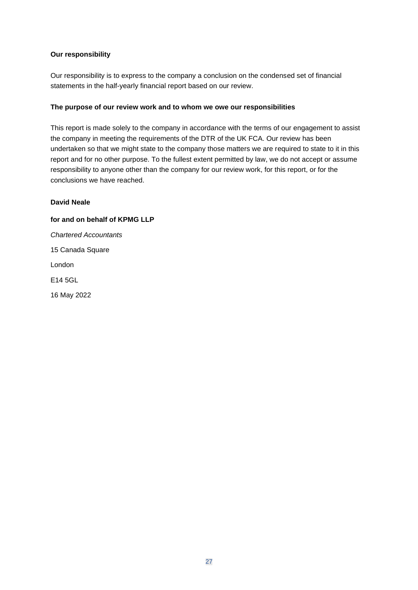## **Our responsibility**

Our responsibility is to express to the company a conclusion on the condensed set of financial statements in the half-yearly financial report based on our review.

#### **The purpose of our review work and to whom we owe our responsibilities**

This report is made solely to the company in accordance with the terms of our engagement to assist the company in meeting the requirements of the DTR of the UK FCA. Our review has been undertaken so that we might state to the company those matters we are required to state to it in this report and for no other purpose. To the fullest extent permitted by law, we do not accept or assume responsibility to anyone other than the company for our review work, for this report, or for the conclusions we have reached.

#### **David Neale**

# **for and on behalf of KPMG LLP**  *Chartered Accountants* 15 Canada Square London

E14 5GL

16 May 2022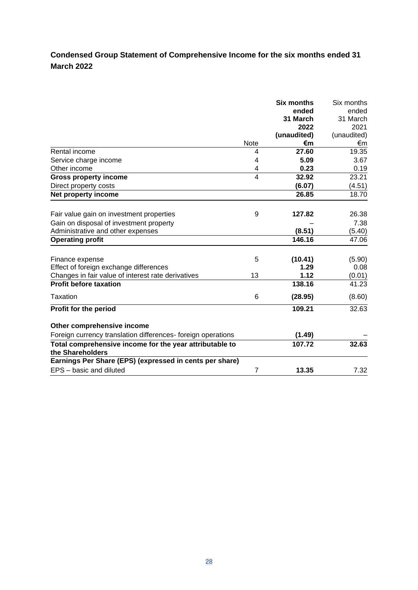# **Condensed Group Statement of Comprehensive Income for the six months ended 31 March 2022**

|                                                                             |                | <b>Six months</b><br>ended<br>31 March<br>2022 | Six months<br>ended<br>31 March<br>2021 |
|-----------------------------------------------------------------------------|----------------|------------------------------------------------|-----------------------------------------|
|                                                                             |                | (unaudited)                                    | (unaudited)                             |
|                                                                             | Note           | €m                                             | €m                                      |
| Rental income                                                               | 4              | 27.60                                          | 19.35                                   |
| Service charge income                                                       | 4              | 5.09                                           | 3.67                                    |
| Other income                                                                | 4              | 0.23                                           | 0.19                                    |
| <b>Gross property income</b>                                                | 4              | 32.92                                          | 23.21                                   |
| Direct property costs                                                       |                | (6.07)                                         | (4.51)                                  |
| Net property income                                                         |                | 26.85                                          | 18.70                                   |
| Fair value gain on investment properties                                    | 9              | 127.82                                         | 26.38                                   |
| Gain on disposal of investment property                                     |                |                                                | 7.38                                    |
| Administrative and other expenses                                           |                | (8.51)                                         | (5.40)                                  |
| <b>Operating profit</b>                                                     |                | 146.16                                         | 47.06                                   |
| Finance expense<br>Effect of foreign exchange differences                   | 5              | (10.41)<br>1.29                                | (5.90)<br>0.08                          |
| Changes in fair value of interest rate derivatives                          | 13             | 1.12                                           | (0.01)                                  |
| <b>Profit before taxation</b>                                               |                | 138.16                                         | 41.23                                   |
| Taxation                                                                    | 6              | (28.95)                                        | (8.60)                                  |
| Profit for the period                                                       |                | 109.21                                         | 32.63                                   |
| Other comprehensive income                                                  |                |                                                |                                         |
| Foreign currency translation differences- foreign operations                |                | (1.49)                                         |                                         |
| Total comprehensive income for the year attributable to<br>the Shareholders |                | 107.72                                         | 32.63                                   |
| Earnings Per Share (EPS) (expressed in cents per share)                     |                |                                                |                                         |
| EPS - basic and diluted                                                     | $\overline{7}$ | 13.35                                          | 7.32                                    |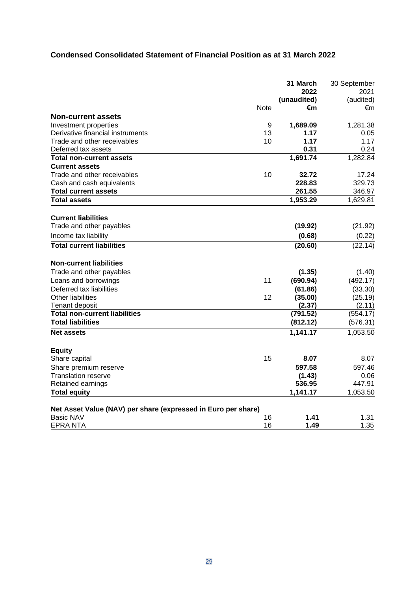# **Condensed Consolidated Statement of Financial Position as at 31 March 2022**

|                                                               |      | 31 March    | 30 September |
|---------------------------------------------------------------|------|-------------|--------------|
|                                                               |      | 2022        | 2021         |
|                                                               |      | (unaudited) | (audited)    |
|                                                               | Note | €m          | €m           |
| <b>Non-current assets</b>                                     |      |             |              |
| Investment properties                                         | 9    | 1,689.09    | 1,281.38     |
| Derivative financial instruments                              | 13   | 1.17        | 0.05         |
| Trade and other receivables                                   | 10   | 1.17        | 1.17         |
| Deferred tax assets                                           |      | 0.31        | 0.24         |
| <b>Total non-current assets</b>                               |      | 1,691.74    | 1,282.84     |
| <b>Current assets</b>                                         |      |             |              |
| Trade and other receivables                                   | 10   | 32.72       | 17.24        |
| Cash and cash equivalents                                     |      | 228.83      | 329.73       |
| <b>Total current assets</b>                                   |      | 261.55      | 346.97       |
| <b>Total assets</b>                                           |      | 1,953.29    | 1,629.81     |
| <b>Current liabilities</b>                                    |      |             |              |
| Trade and other payables                                      |      | (19.92)     | (21.92)      |
| Income tax liability                                          |      | (0.68)      | (0.22)       |
| <b>Total current liabilities</b>                              |      | (20.60)     | (22.14)      |
| <b>Non-current liabilities</b>                                |      |             |              |
| Trade and other payables                                      |      | (1.35)      | (1.40)       |
| Loans and borrowings                                          | 11   | (690.94)    | (492.17)     |
| Deferred tax liabilities                                      |      | (61.86)     | (33.30)      |
| Other liabilities                                             | 12   | (35.00)     | (25.19)      |
| <b>Tenant deposit</b>                                         |      | (2.37)      | (2.11)       |
| <b>Total non-current liabilities</b>                          |      | (791.52)    | (554.17)     |
| <b>Total liabilities</b>                                      |      | (812.12)    | (576.31)     |
| <b>Net assets</b>                                             |      | 1,141.17    | 1,053.50     |
| <b>Equity</b>                                                 |      |             |              |
| Share capital                                                 | 15   | 8.07        | 8.07         |
| Share premium reserve                                         |      | 597.58      | 597.46       |
| <b>Translation reserve</b>                                    |      | (1.43)      | 0.06         |
| Retained earnings                                             |      | 536.95      | 447.91       |
| <b>Total equity</b>                                           |      | 1,141.17    | 1,053.50     |
| Net Asset Value (NAV) per share (expressed in Euro per share) |      |             |              |
| <b>Basic NAV</b>                                              | 16   | 1.41        | 1.31         |
| EPRA NTA                                                      | 16   | 1.49        | 1.35         |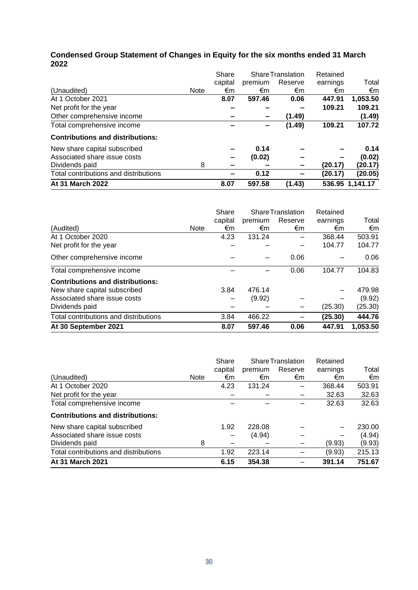# **Condensed Group Statement of Changes in Equity for the six months ended 31 March 2022**

|                                         |             | Share   |         | <b>Share Translation</b> | Retained |                 |
|-----------------------------------------|-------------|---------|---------|--------------------------|----------|-----------------|
|                                         |             | capital | premium | Reserve                  | earnings | Total           |
| (Unaudited)                             | <b>Note</b> | €m      | €m      | €m                       | €m       | €m              |
| At 1 October 2021                       |             | 8.07    | 597.46  | 0.06                     | 447.91   | 1,053.50        |
| Net profit for the year                 |             |         |         |                          | 109.21   | 109.21          |
| Other comprehensive income              |             |         |         | (1.49)                   |          | (1.49)          |
| Total comprehensive income              |             |         |         | (1.49)                   | 109.21   | 107.72          |
| <b>Contributions and distributions:</b> |             |         |         |                          |          |                 |
| New share capital subscribed            |             |         | 0.14    |                          |          | 0.14            |
| Associated share issue costs            |             | -       | (0.02)  |                          |          | (0.02)          |
| Dividends paid                          | 8           |         |         |                          | (20.17)  | (20.17)         |
| Total contributions and distributions   |             |         | 0.12    |                          | (20.17)  | (20.05)         |
| At 31 March 2022                        |             | 8.07    | 597.58  | (1.43)                   |          | 536.95 1,141.17 |

|                                         |             | Share   |         | <b>Share Translation</b> | Retained |          |
|-----------------------------------------|-------------|---------|---------|--------------------------|----------|----------|
|                                         |             | capital | premium | Reserve                  | earnings | Total    |
| (Audited)                               | <b>Note</b> | €m      | €m      | €m                       | €m       | €m       |
| At 1 October 2020                       |             | 4.23    | 131.24  |                          | 368.44   | 503.91   |
| Net profit for the year                 |             |         |         |                          | 104.77   | 104.77   |
| Other comprehensive income              |             |         |         | 0.06                     |          | 0.06     |
| Total comprehensive income              |             |         |         | 0.06                     | 104.77   | 104.83   |
| <b>Contributions and distributions:</b> |             |         |         |                          |          |          |
| New share capital subscribed            |             | 3.84    | 476.14  |                          |          | 479.98   |
| Associated share issue costs            |             |         | (9.92)  |                          |          | (9.92)   |
| Dividends paid                          |             |         |         |                          | (25.30)  | (25.30)  |
| Total contributions and distributions   |             | 3.84    | 466.22  |                          | (25.30)  | 444.76   |
| At 30 September 2021                    |             | 8.07    | 597.46  | 0.06                     | 447.91   | 1,053.50 |

|                                         |             | Share   | <b>Share Translation</b> |         | Retained |        |
|-----------------------------------------|-------------|---------|--------------------------|---------|----------|--------|
|                                         |             | capital | premium                  | Reserve | earnings | Total  |
| (Unaudited)                             | <b>Note</b> | €m      | €m                       | €m      | €m       | €m     |
| At 1 October 2020                       |             | 4.23    | 131.24                   |         | 368.44   | 503.91 |
| Net profit for the year                 |             |         |                          |         | 32.63    | 32.63  |
| Total comprehensive income              |             |         |                          |         | 32.63    | 32.63  |
| <b>Contributions and distributions:</b> |             |         |                          |         |          |        |
| New share capital subscribed            |             | 1.92    | 228.08                   |         |          | 230.00 |
| Associated share issue costs            |             |         | (4.94)                   |         |          | (4.94) |
| Dividends paid                          | 8           |         |                          |         | (9.93)   | (9.93) |
| Total contributions and distributions   |             | 1.92    | 223.14                   |         | (9.93)   | 215.13 |
| At 31 March 2021                        |             | 6.15    | 354.38                   |         | 391.14   | 751.67 |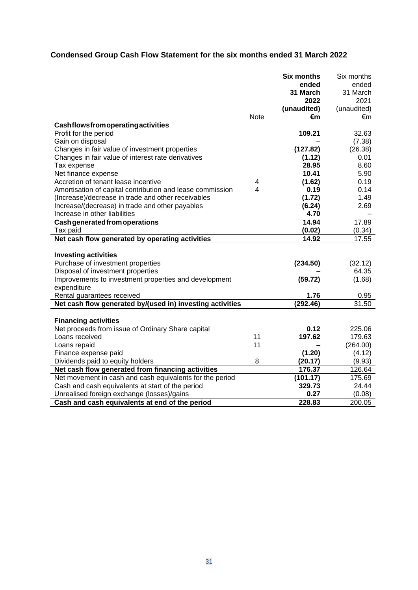# **Condensed Group Cash Flow Statement for the six months ended 31 March 2022**

|                                                           |             | <b>Six months</b> | Six months  |
|-----------------------------------------------------------|-------------|-------------------|-------------|
|                                                           |             | ended             | ended       |
|                                                           |             | 31 March          | 31 March    |
|                                                           |             | 2022              | 2021        |
|                                                           |             | (unaudited)       | (unaudited) |
|                                                           | <b>Note</b> | €m                | €m          |
| Cashflowsfromoperatingactivities                          |             | 109.21            | 32.63       |
| Profit for the period<br>Gain on disposal                 |             |                   | (7.38)      |
| Changes in fair value of investment properties            |             | (127.82)          | (26.38)     |
| Changes in fair value of interest rate derivatives        |             |                   | 0.01        |
| Tax expense                                               |             | (1.12)<br>28.95   | 8.60        |
| Net finance expense                                       |             | 10.41             | 5.90        |
| Accretion of tenant lease incentive                       | 4           | (1.62)            | 0.19        |
| Amortisation of capital contribution and lease commission | 4           | 0.19              | 0.14        |
| (Increase)/decrease in trade and other receivables        |             | (1.72)            | 1.49        |
| Increase/(decrease) in trade and other payables           |             | (6.24)            | 2.69        |
| Increase in other liabilities                             |             | 4.70              |             |
| <b>Cash generated from operations</b>                     |             | 14.94             | 17.89       |
| Tax paid                                                  |             | (0.02)            | (0.34)      |
| Net cash flow generated by operating activities           |             | 14.92             | 17.55       |
|                                                           |             |                   |             |
| <b>Investing activities</b>                               |             |                   |             |
| Purchase of investment properties                         |             | (234.50)          | (32.12)     |
| Disposal of investment properties                         |             |                   | 64.35       |
| Improvements to investment properties and development     |             | (59.72)           | (1.68)      |
| expenditure                                               |             |                   |             |
| Rental guarantees received                                |             | 1.76              | 0.95        |
| Net cash flow generated by/(used in) investing activities |             | (292.46)          | 31.50       |
|                                                           |             |                   |             |
| <b>Financing activities</b>                               |             |                   |             |
| Net proceeds from issue of Ordinary Share capital         |             | 0.12              | 225.06      |
| Loans received                                            | 11          | 197.62            | 179.63      |
| Loans repaid                                              | 11          |                   | (264.00)    |
| Finance expense paid                                      |             | (1.20)            | (4.12)      |
| Dividends paid to equity holders                          | 8           | (20.17)           | (9.93)      |
| Net cash flow generated from financing activities         |             | 176.37            | 126.64      |
| Net movement in cash and cash equivalents for the period  |             | (101.17)          | 175.69      |
| Cash and cash equivalents at start of the period          |             | 329.73            | 24.44       |
| Unrealised foreign exchange (losses)/gains                |             | 0.27              | (0.08)      |
| Cash and cash equivalents at end of the period            |             | 228.83            | 200.05      |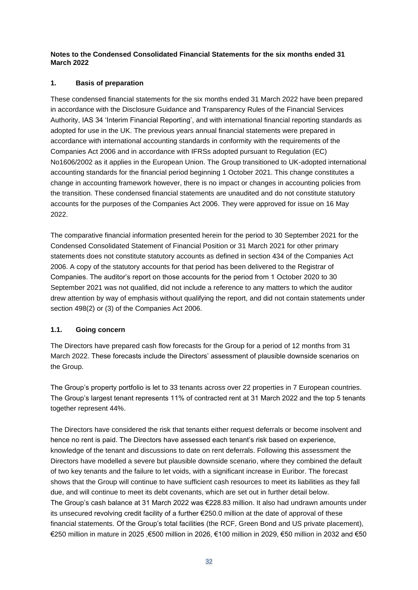**Notes to the Condensed Consolidated Financial Statements for the six months ended 31 March 2022**

## **1. Basis of preparation**

These condensed financial statements for the six months ended 31 March 2022 have been prepared in accordance with the Disclosure Guidance and Transparency Rules of the Financial Services Authority, IAS 34 'Interim Financial Reporting', and with international financial reporting standards as adopted for use in the UK. The previous years annual financial statements were prepared in accordance with international accounting standards in conformity with the requirements of the Companies Act 2006 and in accordance with IFRSs adopted pursuant to Regulation (EC) No1606/2002 as it applies in the European Union. The Group transitioned to UK-adopted international accounting standards for the financial period beginning 1 October 2021. This change constitutes a change in accounting framework however, there is no impact or changes in accounting policies from the transition. These condensed financial statements are unaudited and do not constitute statutory accounts for the purposes of the Companies Act 2006. They were approved for issue on 16 May 2022.

The comparative financial information presented herein for the period to 30 September 2021 for the Condensed Consolidated Statement of Financial Position or 31 March 2021 for other primary statements does not constitute statutory accounts as defined in section 434 of the Companies Act 2006. A copy of the statutory accounts for that period has been delivered to the Registrar of Companies. The auditor's report on those accounts for the period from 1 October 2020 to 30 September 2021 was not qualified, did not include a reference to any matters to which the auditor drew attention by way of emphasis without qualifying the report, and did not contain statements under section 498(2) or (3) of the Companies Act 2006.

# **1.1. Going concern**

The Directors have prepared cash flow forecasts for the Group for a period of 12 months from 31 March 2022. These forecasts include the Directors' assessment of plausible downside scenarios on the Group.

The Group's property portfolio is let to 33 tenants across over 22 properties in 7 European countries. The Group's largest tenant represents 11% of contracted rent at 31 March 2022 and the top 5 tenants together represent 44%.

The Directors have considered the risk that tenants either request deferrals or become insolvent and hence no rent is paid. The Directors have assessed each tenant's risk based on experience, knowledge of the tenant and discussions to date on rent deferrals. Following this assessment the Directors have modelled a severe but plausible downside scenario, where they combined the default of two key tenants and the failure to let voids, with a significant increase in Euribor. The forecast shows that the Group will continue to have sufficient cash resources to meet its liabilities as they fall due, and will continue to meet its debt covenants, which are set out in further detail below. The Group's cash balance at 31 March 2022 was €228.83 million. It also had undrawn amounts under its unsecured revolving credit facility of a further €250.0 million at the date of approval of these financial statements. Of the Group's total facilities (the RCF, Green Bond and US private placement), €250 million in mature in 2025 ,€500 million in 2026, €100 million in 2029, €50 million in 2032 and €50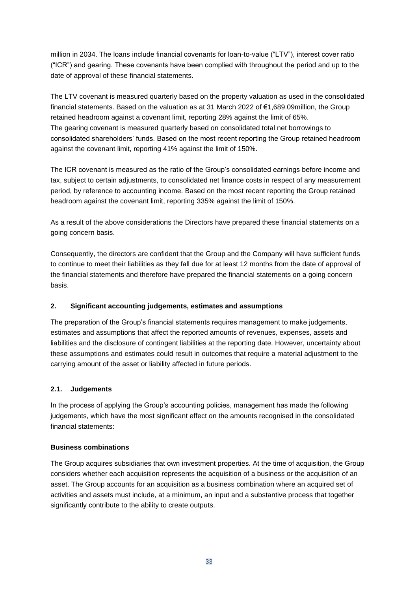million in 2034. The loans include financial covenants for loan-to-value ("LTV"), interest cover ratio ("ICR") and gearing. These covenants have been complied with throughout the period and up to the date of approval of these financial statements.

The LTV covenant is measured quarterly based on the property valuation as used in the consolidated financial statements. Based on the valuation as at 31 March 2022 of €1,689.09million, the Group retained headroom against a covenant limit, reporting 28% against the limit of 65%. The gearing covenant is measured quarterly based on consolidated total net borrowings to consolidated shareholders' funds. Based on the most recent reporting the Group retained headroom against the covenant limit, reporting 41% against the limit of 150%.

The ICR covenant is measured as the ratio of the Group's consolidated earnings before income and tax, subject to certain adjustments, to consolidated net finance costs in respect of any measurement period, by reference to accounting income. Based on the most recent reporting the Group retained headroom against the covenant limit, reporting 335% against the limit of 150%.

As a result of the above considerations the Directors have prepared these financial statements on a going concern basis.

Consequently, the directors are confident that the Group and the Company will have sufficient funds to continue to meet their liabilities as they fall due for at least 12 months from the date of approval of the financial statements and therefore have prepared the financial statements on a going concern basis.

# **2. Significant accounting judgements, estimates and assumptions**

The preparation of the Group's financial statements requires management to make judgements, estimates and assumptions that affect the reported amounts of revenues, expenses, assets and liabilities and the disclosure of contingent liabilities at the reporting date. However, uncertainty about these assumptions and estimates could result in outcomes that require a material adjustment to the carrying amount of the asset or liability affected in future periods.

# **2.1. Judgements**

In the process of applying the Group's accounting policies, management has made the following judgements, which have the most significant effect on the amounts recognised in the consolidated financial statements:

#### **Business combinations**

The Group acquires subsidiaries that own investment properties. At the time of acquisition, the Group considers whether each acquisition represents the acquisition of a business or the acquisition of an asset. The Group accounts for an acquisition as a business combination where an acquired set of activities and assets must include, at a minimum, an input and a substantive process that together significantly contribute to the ability to create outputs.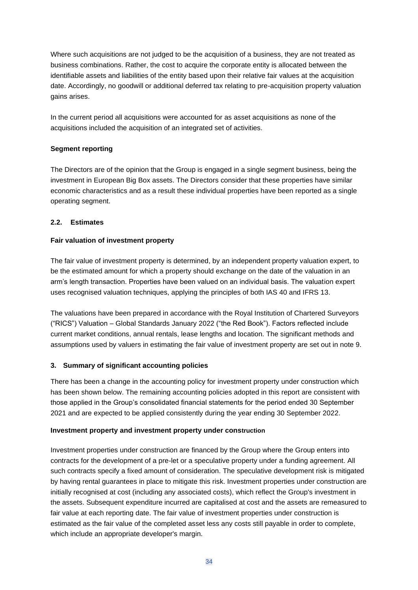Where such acquisitions are not judged to be the acquisition of a business, they are not treated as business combinations. Rather, the cost to acquire the corporate entity is allocated between the identifiable assets and liabilities of the entity based upon their relative fair values at the acquisition date. Accordingly, no goodwill or additional deferred tax relating to pre-acquisition property valuation gains arises.

In the current period all acquisitions were accounted for as asset acquisitions as none of the acquisitions included the acquisition of an integrated set of activities.

## **Segment reporting**

The Directors are of the opinion that the Group is engaged in a single segment business, being the investment in European Big Box assets. The Directors consider that these properties have similar economic characteristics and as a result these individual properties have been reported as a single operating segment.

## **2.2. Estimates**

## **Fair valuation of investment property**

The fair value of investment property is determined, by an independent property valuation expert, to be the estimated amount for which a property should exchange on the date of the valuation in an arm's length transaction. Properties have been valued on an individual basis. The valuation expert uses recognised valuation techniques, applying the principles of both IAS 40 and IFRS 13.

The valuations have been prepared in accordance with the Royal Institution of Chartered Surveyors ("RICS") Valuation – Global Standards January 2022 ("the Red Book"). Factors reflected include current market conditions, annual rentals, lease lengths and location. The significant methods and assumptions used by valuers in estimating the fair value of investment property are set out in note 9.

#### **3. Summary of significant accounting policies**

There has been a change in the accounting policy for investment property under construction which has been shown below. The remaining accounting policies adopted in this report are consistent with those applied in the Group's consolidated financial statements for the period ended 30 September 2021 and are expected to be applied consistently during the year ending 30 September 2022.

#### **Investment property and investment property under construction**

Investment properties under construction are financed by the Group where the Group enters into contracts for the development of a pre-let or a speculative property under a funding agreement. All such contracts specify a fixed amount of consideration. The speculative development risk is mitigated by having rental guarantees in place to mitigate this risk. Investment properties under construction are initially recognised at cost (including any associated costs), which reflect the Group's investment in the assets. Subsequent expenditure incurred are capitalised at cost and the assets are remeasured to fair value at each reporting date. The fair value of investment properties under construction is estimated as the fair value of the completed asset less any costs still payable in order to complete, which include an appropriate developer's margin.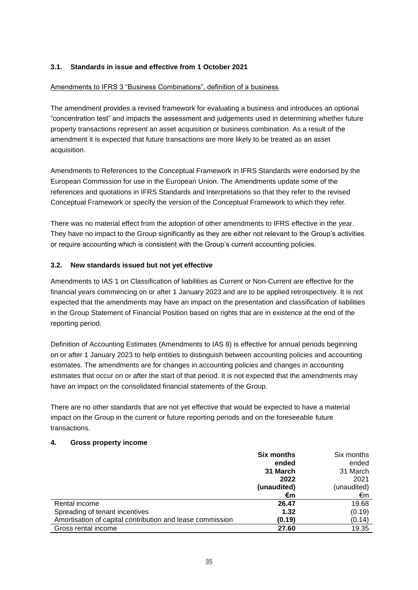# **3.1. Standards in issue and effective from 1 October 2021**

#### Amendments to IFRS 3 "Business Combinations", definition of a business

The amendment provides a revised framework for evaluating a business and introduces an optional "concentration test" and impacts the assessment and judgements used in determining whether future property transactions represent an asset acquisition or business combination. As a result of the amendment it is expected that future transactions are more likely to be treated as an asset acquisition.

Amendments to References to the Conceptual Framework in IFRS Standards were endorsed by the European Commission for use in the European Union. The Amendments update some of the references and quotations in IFRS Standards and Interpretations so that they refer to the revised Conceptual Framework or specify the version of the Conceptual Framework to which they refer.

There was no material effect from the adoption of other amendments to IFRS effective in the year. They have no impact to the Group significantly as they are either not relevant to the Group's activities or require accounting which is consistent with the Group's current accounting policies.

#### **3.2. New standards issued but not yet effective**

Amendments to IAS 1 on Classification of liabilities as Current or Non-Current are effective for the financial years commencing on or after 1 January 2023 and are to be applied retrospectively. It is not expected that the amendments may have an impact on the presentation and classification of liabilities in the Group Statement of Financial Position based on rights that are in existence at the end of the reporting period.

Definition of Accounting Estimates (Amendments to IAS 8) is effective for annual periods beginning on or after 1 January 2023 to help entities to distinguish between accounting policies and accounting estimates. The amendments are for changes in accounting policies and changes in accounting estimates that occur on or after the start of that period. It is not expected that the amendments may have an impact on the consolidated financial statements of the Group.

There are no other standards that are not yet effective that would be expected to have a material impact on the Group in the current or future reporting periods and on the foreseeable future transactions.

#### **4. Gross property income**

|                                                           | <b>Six months</b> | Six months  |
|-----------------------------------------------------------|-------------------|-------------|
|                                                           | ended             | ended       |
|                                                           | 31 March          | 31 March    |
|                                                           | 2022              | 2021        |
|                                                           | (unaudited)       | (unaudited) |
|                                                           | €m                | €m          |
| Rental income                                             | 26.47             | 19.68       |
| Spreading of tenant incentives                            | 1.32              | (0.19)      |
| Amortisation of capital contribution and lease commission | (0.19)            | (0.14)      |
| Gross rental income                                       | 27.60             | 19.35       |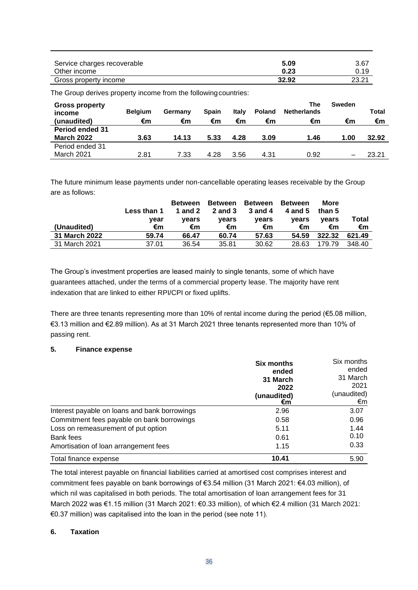| Service charges recoverable | 5.09  | 3.67  |
|-----------------------------|-------|-------|
| Other income                | 0.23  | 0.19  |
| Gross property income       | 32.92 | 23.21 |

The Group derives property income from the following countries:

| <b>Gross property</b><br>income<br>(unaudited) | <b>Belgium</b><br>€m | Germany<br>€m | <b>Spain</b><br>€m | Italv<br>€m | <b>Poland</b><br>€m | The<br><b>Netherlands</b><br>€m | Sweden<br>€m | Total<br>€m |
|------------------------------------------------|----------------------|---------------|--------------------|-------------|---------------------|---------------------------------|--------------|-------------|
| <b>Period ended 31</b><br><b>March 2022</b>    | 3.63                 | 14.13         | 5.33               | 4.28        | 3.09                | 1.46                            | 1.00         | 32.92       |
| Period ended 31<br><b>March 2021</b>           | 2.81                 | 7.33          | 4.28               | 3.56        | 4.31                | 0.92                            |              | 23.21       |

The future minimum lease payments under non-cancellable operating leases receivable by the Group are as follows:

|               | Less than 1 | <b>Between</b><br>1 and 2 | <b>Between</b><br><b>2</b> and 3 | <b>Between</b><br><b>3 and 4</b> | <b>Between</b><br>4 and 5 | More<br>than 5 |             |
|---------------|-------------|---------------------------|----------------------------------|----------------------------------|---------------------------|----------------|-------------|
| (Unaudited)   | vear<br>€m  | vears<br>€m               | vears<br>€m                      | vears<br>€m                      | vears<br>€m               | vears<br>€m    | Total<br>€m |
| 31 March 2022 | 59.74       | 66.47                     | 60.74                            | 57.63                            | 54.59                     | 322.32         | 621.49      |
| 31 March 2021 | 37.01       | 36.54                     | 35.81                            | 30.62                            | 28.63                     | 179.79         | 348.40      |

The Group's investment properties are leased mainly to single tenants, some of which have guarantees attached, under the terms of a commercial property lease. The majority have rent indexation that are linked to either RPI/CPI or fixed uplifts.

There are three tenants representing more than 10% of rental income during the period (€5.08 million, €3.13 million and €2.89 million). As at 31 March 2021 three tenants represented more than 10% of passing rent.

#### **5. Finance expense**

|                                               | <b>Six months</b><br>ended<br>31 March<br>2022<br>(unaudited)<br>€m | Six months<br>ended<br>31 March<br>2021<br>(unaudited)<br>€m |
|-----------------------------------------------|---------------------------------------------------------------------|--------------------------------------------------------------|
| Interest payable on loans and bank borrowings | 2.96                                                                | 3.07                                                         |
| Commitment fees payable on bank borrowings    | 0.58                                                                | 0.96                                                         |
| Loss on remeasurement of put option           | 5.11                                                                | 1.44                                                         |
| Bank fees                                     | 0.61                                                                | 0.10                                                         |
| Amortisation of loan arrangement fees         | 1.15                                                                | 0.33                                                         |
| Total finance expense                         | 10.41                                                               | 5.90                                                         |

The total interest payable on financial liabilities carried at amortised cost comprises interest and commitment fees payable on bank borrowings of €3.54 million (31 March 2021: €4.03 million), of which nil was capitalised in both periods. The total amortisation of loan arrangement fees for 31 March 2022 was €1.15 million (31 March 2021: €0.33 million), of which €2.4 million (31 March 2021: €0.37 million) was capitalised into the loan in the period (see note 11).

#### **6. Taxation**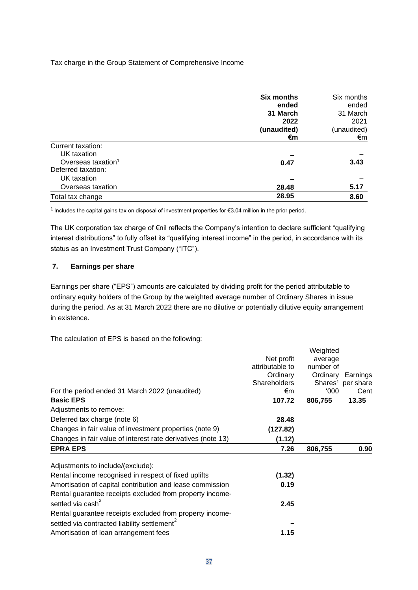Tax charge in the Group Statement of Comprehensive Income

|                                | <b>Six months</b> | Six months  |
|--------------------------------|-------------------|-------------|
|                                | ended             | ended       |
|                                | 31 March          | 31 March    |
|                                | 2022              | 2021        |
|                                | (unaudited)       | (unaudited) |
|                                | €m                | €m          |
| Current taxation:              |                   |             |
| UK taxation                    |                   |             |
| Overseas taxation <sup>1</sup> | 0.47              | 3.43        |
| Deferred taxation:             |                   |             |
| UK taxation                    |                   |             |
| Overseas taxation              | 28.48             | 5.17        |
| Total tax change               | 28.95             | 8.60        |

<sup>1</sup>Includes the capital gains tax on disposal of investment properties for €3.04 million in the prior period.

The UK corporation tax charge of €nil reflects the Company's intention to declare sufficient "qualifying interest distributions" to fully offset its "qualifying interest income" in the period, in accordance with its status as an Investment Trust Company ("ITC").

### **7. Earnings per share**

Earnings per share ("EPS") amounts are calculated by dividing profit for the period attributable to ordinary equity holders of the Group by the weighted average number of Ordinary Shares in issue during the period. As at 31 March 2022 there are no dilutive or potentially dilutive equity arrangement in existence.

The calculation of EPS is based on the following:

| For the period ended 31 March 2022 (unaudited)               | Net profit<br>attributable to<br>Ordinary<br><b>Shareholders</b><br>€m | Weighted<br>average<br>number of<br>Ordinary<br>000' | Earnings<br>Shares <sup>1</sup> per share<br>Cent |
|--------------------------------------------------------------|------------------------------------------------------------------------|------------------------------------------------------|---------------------------------------------------|
| <b>Basic EPS</b>                                             | 107.72                                                                 | 806,755                                              | 13.35                                             |
| Adjustments to remove:                                       |                                                                        |                                                      |                                                   |
| Deferred tax charge (note 6)                                 | 28.48                                                                  |                                                      |                                                   |
| Changes in fair value of investment properties (note 9)      | (127.82)                                                               |                                                      |                                                   |
| Changes in fair value of interest rate derivatives (note 13) | (1.12)                                                                 |                                                      |                                                   |
| <b>EPRA EPS</b>                                              | 7.26                                                                   | 806,755                                              | 0.90                                              |
| Adjustments to include/(exclude):                            |                                                                        |                                                      |                                                   |
| Rental income recognised in respect of fixed uplifts         | (1.32)                                                                 |                                                      |                                                   |
| Amortisation of capital contribution and lease commission    | 0.19                                                                   |                                                      |                                                   |
| Rental guarantee receipts excluded from property income-     |                                                                        |                                                      |                                                   |
| settled via cash <sup>2</sup>                                | 2.45                                                                   |                                                      |                                                   |
| Rental guarantee receipts excluded from property income-     |                                                                        |                                                      |                                                   |
| settled via contracted liability settlement <sup>2</sup>     |                                                                        |                                                      |                                                   |
| Amortisation of loan arrangement fees                        | 1.15                                                                   |                                                      |                                                   |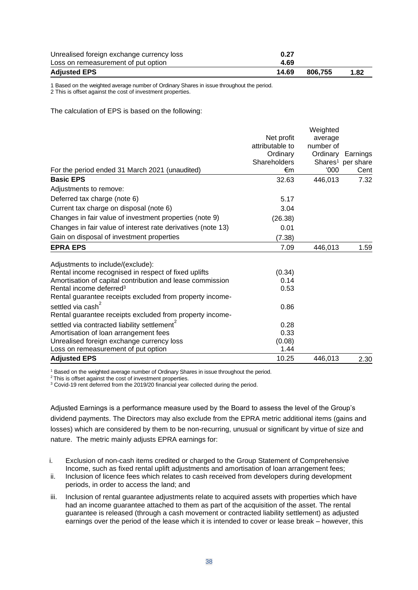| Unrealised foreign exchange currency loss | 0.27  |         |      |
|-------------------------------------------|-------|---------|------|
| Loss on remeasurement of put option       | 4.69  |         |      |
| <b>Adjusted EPS</b>                       | 14.69 | 806.755 | 1.82 |

1 Based on the weighted average number of Ordinary Shares in issue throughout the period.

2 This is offset against the cost of investment properties.

The calculation of EPS is based on the following:

|                                                              |                 | Weighted  |                               |
|--------------------------------------------------------------|-----------------|-----------|-------------------------------|
|                                                              | Net profit      | average   |                               |
|                                                              | attributable to | number of |                               |
|                                                              | Ordinary        | Ordinary  | Earnings                      |
|                                                              | Shareholders    |           | Shares <sup>1</sup> per share |
| For the period ended 31 March 2021 (unaudited)               | €m              | 000'      | Cent                          |
| <b>Basic EPS</b>                                             | 32.63           | 446,013   | 7.32                          |
| Adjustments to remove:                                       |                 |           |                               |
| Deferred tax charge (note 6)                                 | 5.17            |           |                               |
| Current tax charge on disposal (note 6)                      | 3.04            |           |                               |
| Changes in fair value of investment properties (note 9)      | (26.38)         |           |                               |
| Changes in fair value of interest rate derivatives (note 13) | 0.01            |           |                               |
| Gain on disposal of investment properties                    | (7.38)          |           |                               |
| <b>EPRA EPS</b>                                              | 7.09            | 446,013   | 1.59                          |
| Adjustments to include/(exclude):                            |                 |           |                               |
| Rental income recognised in respect of fixed uplifts         | (0.34)          |           |                               |
| Amortisation of capital contribution and lease commission    | 0.14            |           |                               |
| Rental income deferred <sup>3</sup>                          | 0.53            |           |                               |
| Rental guarantee receipts excluded from property income-     |                 |           |                               |
| settled via cash <sup>2</sup>                                | 0.86            |           |                               |
| Rental guarantee receipts excluded from property income-     |                 |           |                               |
| settled via contracted liability settlement <sup>2</sup>     | 0.28            |           |                               |
| Amortisation of loan arrangement fees                        | 0.33            |           |                               |
| Unrealised foreign exchange currency loss                    | (0.08)          |           |                               |
| Loss on remeasurement of put option                          | 1.44            |           |                               |
| <b>Adjusted EPS</b>                                          | 10.25           | 446,013   | 2.30                          |

<sup>1</sup> Based on the weighted average number of Ordinary Shares in issue throughout the period.

<sup>2</sup>This is offset against the cost of investment properties.

<sup>3</sup> Covid-19 rent deferred from the 2019/20 financial year collected during the period.

Adjusted Earnings is a performance measure used by the Board to assess the level of the Group's dividend payments. The Directors may also exclude from the EPRA metric additional items (gains and losses) which are considered by them to be non-recurring, unusual or significant by virtue of size and nature. The metric mainly adjusts EPRA earnings for:

- i. Exclusion of non-cash items credited or charged to the Group Statement of Comprehensive Income, such as fixed rental uplift adjustments and amortisation of loan arrangement fees;
- ii. Inclusion of licence fees which relates to cash received from developers during development periods, in order to access the land; and
- iii. Inclusion of rental guarantee adjustments relate to acquired assets with properties which have had an income guarantee attached to them as part of the acquisition of the asset. The rental guarantee is released (through a cash movement or contracted liability settlement) as adjusted earnings over the period of the lease which it is intended to cover or lease break – however, this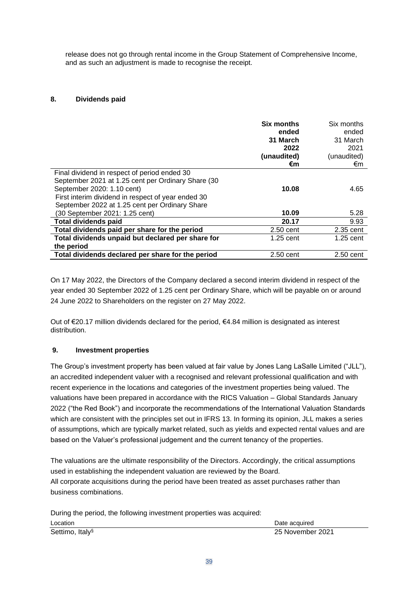release does not go through rental income in the Group Statement of Comprehensive Income, and as such an adjustment is made to recognise the receipt.

# **8. Dividends paid**

|                                                    | <b>Six months</b> | Six months  |
|----------------------------------------------------|-------------------|-------------|
|                                                    | ended             | ended       |
|                                                    | 31 March          | 31 March    |
|                                                    | 2022              | 2021        |
|                                                    | (unaudited)       | (unaudited) |
|                                                    | €m                | €m          |
| Final dividend in respect of period ended 30       |                   |             |
| September 2021 at 1.25 cent per Ordinary Share (30 |                   |             |
| September 2020: 1.10 cent)                         | 10.08             | 4.65        |
| First interim dividend in respect of year ended 30 |                   |             |
| September 2022 at 1.25 cent per Ordinary Share     |                   |             |
| (30 September 2021: 1.25 cent)                     | 10.09             | 5.28        |
| <b>Total dividends paid</b>                        | 20.17             | 9.93        |
| Total dividends paid per share for the period      | $2.50$ cent       | 2.35 cent   |
| Total dividends unpaid but declared per share for  | $1.25$ cent       | $1.25$ cent |
| the period                                         |                   |             |
| Total dividends declared per share for the period  | $2.50$ cent       | 2.50 cent   |

On 17 May 2022, the Directors of the Company declared a second interim dividend in respect of the year ended 30 September 2022 of 1.25 cent per Ordinary Share, which will be payable on or around 24 June 2022 to Shareholders on the register on 27 May 2022.

Out of €20.17 million dividends declared for the period, €4.84 million is designated as interest distribution.

# **9. Investment properties**

The Group's investment property has been valued at fair value by Jones Lang LaSalle Limited ("JLL"), an accredited independent valuer with a recognised and relevant professional qualification and with recent experience in the locations and categories of the investment properties being valued. The valuations have been prepared in accordance with the RICS Valuation – Global Standards January 2022 ("the Red Book") and incorporate the recommendations of the International Valuation Standards which are consistent with the principles set out in IFRS 13. In forming its opinion, JLL makes a series of assumptions, which are typically market related, such as yields and expected rental values and are based on the Valuer's professional judgement and the current tenancy of the properties.

The valuations are the ultimate responsibility of the Directors. Accordingly, the critical assumptions used in establishing the independent valuation are reviewed by the Board. All corporate acquisitions during the period have been treated as asset purchases rather than business combinations.

| During the period, the following investment properties was acquired: |                  |
|----------------------------------------------------------------------|------------------|
| Location                                                             | Date acquired    |
| Settimo, Italy <sup>§</sup>                                          | 25 November 2021 |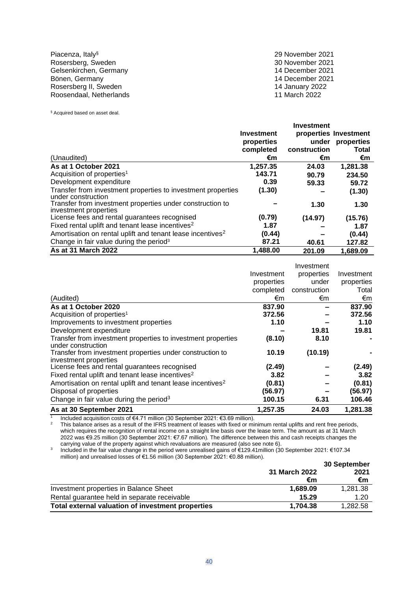Piacenza, Italy§ 29 November 2021 Rosersberg, Sweden 30 November 2021 Gelsenkirchen, Germany 14 December 2021 Bönen, Germany 14 December 2021 Rosersberg II, Sweden 14 January 2022 Roosendaal, Netherlands 11 March 2022

§ Acquired based on asset deal.

|                                                                                    |                   | Investment   |                       |
|------------------------------------------------------------------------------------|-------------------|--------------|-----------------------|
|                                                                                    | <b>Investment</b> |              | properties Investment |
|                                                                                    | properties        | under        | properties            |
|                                                                                    | completed         | construction | Total                 |
| (Unaudited)                                                                        | €m                | €m           | €m                    |
| As at 1 October 2021                                                               | 1.257.35          | 24.03        | 1,281.38              |
| Acquisition of properties <sup>1</sup>                                             | 143.71            | 90.79        | 234.50                |
| Development expenditure                                                            | 0.39              | 59.33        | 59.72                 |
| Transfer from investment properties to investment properties<br>under construction | (1.30)            |              | (1.30)                |
| Transfer from investment properties under construction to<br>investment properties |                   | 1.30         | 1.30                  |
| License fees and rental guarantees recognised                                      | (0.79)            | (14.97)      | (15.76)               |
| Fixed rental uplift and tenant lease incentives <sup>2</sup>                       | 1.87              |              | 1.87                  |
| Amortisation on rental uplift and tenant lease incentives <sup>2</sup>             | (0.44)            |              | (0.44)                |
| Change in fair value during the period <sup>3</sup>                                | 87.21             | 40.61        | 127.82                |
| As at 31 March 2022                                                                | 1,488.00          | 201.09       | 1,689.09              |

|                                                                                    |            | Investment   |            |
|------------------------------------------------------------------------------------|------------|--------------|------------|
|                                                                                    | Investment | properties   | Investment |
|                                                                                    | properties | under        | properties |
|                                                                                    | completed  | construction | Total      |
| (Audited)                                                                          | €m         | €m           | €m         |
| As at 1 October 2020                                                               | 837.90     |              | 837.90     |
| Acquisition of properties <sup>1</sup>                                             | 372.56     |              | 372.56     |
| Improvements to investment properties                                              | 1.10       |              | 1.10       |
| Development expenditure                                                            |            | 19.81        | 19.81      |
| Transfer from investment properties to investment properties<br>under construction | (8.10)     | 8.10         |            |
| Transfer from investment properties under construction to<br>investment properties | 10.19      | (10.19)      |            |
| License fees and rental guarantees recognised                                      | (2.49)     |              | (2.49)     |
| Fixed rental uplift and tenant lease incentives <sup>2</sup>                       | 3.82       |              | 3.82       |
| Amortisation on rental uplift and tenant lease incentives <sup>2</sup>             | (0.81)     |              | (0.81)     |
| Disposal of properties                                                             | (56.97)    |              | (56.97)    |
| Change in fair value during the period <sup>3</sup>                                | 100.15     | 6.31         | 106.46     |
| As at 30 September 2021                                                            | 1,257.35   | 24.03        | 1,281.38   |

1 Included acquisition costs of €4.71 million (30 September 2021: €3.69 million).

<sup>2</sup> This balance arises as a result of the IFRS treatment of leases with fixed or minimum rental uplifts and rent free periods, which requires the recognition of rental income on a straight line basis over the lease term. The amount as at 31 March 2022 was €9.25 million (30 September 2021: €7.67 million). The difference between this and cash receipts changes the carrying value of the property against which revaluations are measured (also see note 6).

3 Included in the fair value change in the period were unrealised gains of €129.41million (30 September 2021: €107.34 million) and unrealised losses of €1.56 million (30 September 2021: €0.88 million).

|                                                   |               | 30 September |
|---------------------------------------------------|---------------|--------------|
|                                                   | 31 March 2022 | 2021         |
|                                                   | €m            | €m           |
| Investment properties in Balance Sheet            | 1.689.09      | 1,281.38     |
| Rental guarantee held in separate receivable      | 15.29         | 1.20         |
| Total external valuation of investment properties | 1.704.38      | 1.282.58     |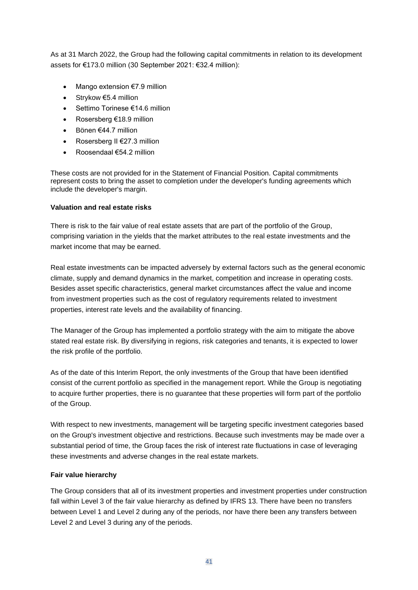As at 31 March 2022, the Group had the following capital commitments in relation to its development assets for €173.0 million (30 September 2021: €32.4 million):

- Mango extension €7.9 million
- Strykow €5.4 million
- Settimo Torinese €14.6 million
- Rosersberg €18.9 million
- Bönen €44.7 million
- Rosersberg II €27.3 million
- Roosendaal €54.2 million

These costs are not provided for in the Statement of Financial Position. Capital commitments represent costs to bring the asset to completion under the developer's funding agreements which include the developer's margin.

#### **Valuation and real estate risks**

There is risk to the fair value of real estate assets that are part of the portfolio of the Group, comprising variation in the yields that the market attributes to the real estate investments and the market income that may be earned.

Real estate investments can be impacted adversely by external factors such as the general economic climate, supply and demand dynamics in the market, competition and increase in operating costs. Besides asset specific characteristics, general market circumstances affect the value and income from investment properties such as the cost of regulatory requirements related to investment properties, interest rate levels and the availability of financing.

The Manager of the Group has implemented a portfolio strategy with the aim to mitigate the above stated real estate risk. By diversifying in regions, risk categories and tenants, it is expected to lower the risk profile of the portfolio.

As of the date of this Interim Report, the only investments of the Group that have been identified consist of the current portfolio as specified in the management report. While the Group is negotiating to acquire further properties, there is no guarantee that these properties will form part of the portfolio of the Group.

With respect to new investments, management will be targeting specific investment categories based on the Group's investment objective and restrictions. Because such investments may be made over a substantial period of time, the Group faces the risk of interest rate fluctuations in case of leveraging these investments and adverse changes in the real estate markets.

#### **Fair value hierarchy**

The Group considers that all of its investment properties and investment properties under construction fall within Level 3 of the fair value hierarchy as defined by IFRS 13. There have been no transfers between Level 1 and Level 2 during any of the periods, nor have there been any transfers between Level 2 and Level 3 during any of the periods.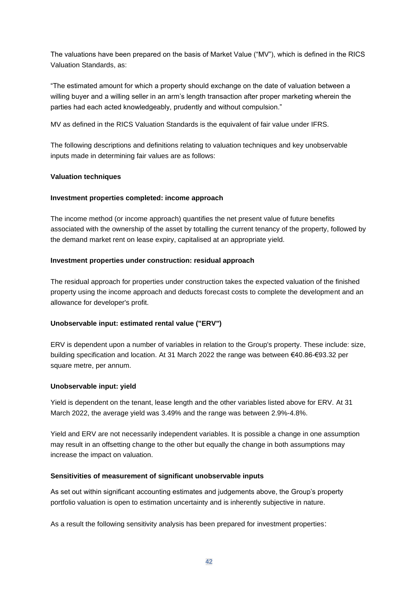The valuations have been prepared on the basis of Market Value ("MV"), which is defined in the RICS Valuation Standards, as:

"The estimated amount for which a property should exchange on the date of valuation between a willing buyer and a willing seller in an arm's length transaction after proper marketing wherein the parties had each acted knowledgeably, prudently and without compulsion."

MV as defined in the RICS Valuation Standards is the equivalent of fair value under IFRS.

The following descriptions and definitions relating to valuation techniques and key unobservable inputs made in determining fair values are as follows:

## **Valuation techniques**

#### **Investment properties completed: income approach**

The income method (or income approach) quantifies the net present value of future benefits associated with the ownership of the asset by totalling the current tenancy of the property, followed by the demand market rent on lease expiry, capitalised at an appropriate yield.

## **Investment properties under construction: residual approach**

The residual approach for properties under construction takes the expected valuation of the finished property using the income approach and deducts forecast costs to complete the development and an allowance for developer's profit.

# **Unobservable input: estimated rental value ("ERV")**

ERV is dependent upon a number of variables in relation to the Group's property. These include: size, building specification and location. At 31 March 2022 the range was between €40.86-€93.32 per square metre, per annum.

#### **Unobservable input: yield**

Yield is dependent on the tenant, lease length and the other variables listed above for ERV. At 31 March 2022, the average yield was 3.49% and the range was between 2.9%-4.8%.

Yield and ERV are not necessarily independent variables. It is possible a change in one assumption may result in an offsetting change to the other but equally the change in both assumptions may increase the impact on valuation.

#### **Sensitivities of measurement of significant unobservable inputs**

As set out within significant accounting estimates and judgements above, the Group's property portfolio valuation is open to estimation uncertainty and is inherently subjective in nature.

As a result the following sensitivity analysis has been prepared for investment properties: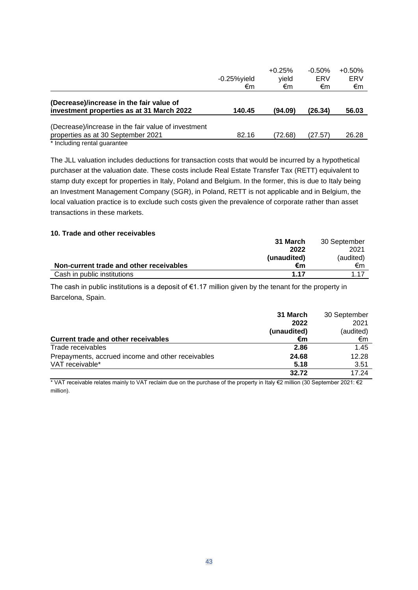|                                                                                           |                | $+0.25%$ | $-0.50%$ | $+0.50%$ |
|-------------------------------------------------------------------------------------------|----------------|----------|----------|----------|
|                                                                                           | $-0.25%$ yield | yield    | ERV      | ERV      |
|                                                                                           | €m             | €m       | €m       | €m       |
| (Decrease)/increase in the fair value of<br>investment properties as at 31 March 2022     | 140.45         | (94.09)  | (26.34)  | 56.03    |
|                                                                                           |                |          |          |          |
| (Decrease)/increase in the fair value of investment<br>properties as at 30 September 2021 | 82.16          | (72.68)  | (27.57)  | 26.28    |
| * Including rental quarantee                                                              |                |          |          |          |

The JLL valuation includes deductions for transaction costs that would be incurred by a hypothetical purchaser at the valuation date. These costs include Real Estate Transfer Tax (RETT) equivalent to stamp duty except for properties in Italy, Poland and Belgium. In the former, this is due to Italy being an Investment Management Company (SGR), in Poland, RETT is not applicable and in Belgium, the local valuation practice is to exclude such costs given the prevalence of corporate rather than asset transactions in these markets.

#### **10. Trade and other receivables**

|                                         | 31 March    | 30 September |
|-----------------------------------------|-------------|--------------|
|                                         | 2022        | 2021         |
|                                         | (unaudited) | (audited)    |
| Non-current trade and other receivables | €m          | €m           |
| Cash in public institutions             | 1 17        | 117          |

The cash in public institutions is a deposit of €1.17 million given by the tenant for the property in Barcelona, Spain.

|                                                   | 31 March    | 30 September |
|---------------------------------------------------|-------------|--------------|
|                                                   | 2022        | 2021         |
|                                                   | (unaudited) | (audited)    |
| Current trade and other receivables               | €m          | €m           |
| Trade receivables                                 | 2.86        | 1.45         |
| Prepayments, accrued income and other receivables | 24.68       | 12.28        |
| VAT receivable*                                   | 5.18        | 3.51         |
|                                                   | 32.72       | 17 24        |

\* VAT receivable relates mainly to VAT reclaim due on the purchase of the property in Italy €2 million (30 September 2021: €2 million).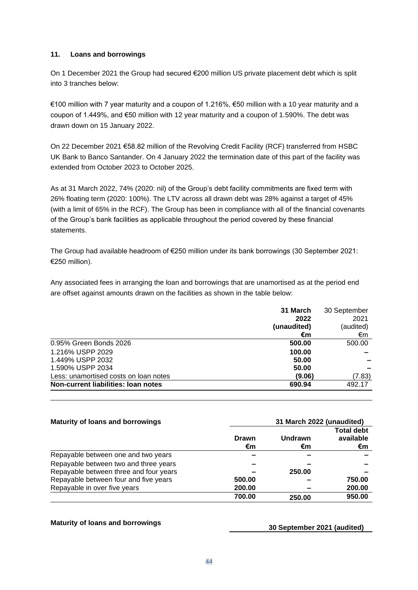### **11. Loans and borrowings**

On 1 December 2021 the Group had secured €200 million US private placement debt which is split into 3 tranches below:

€100 million with 7 year maturity and a coupon of 1.216%, €50 million with a 10 year maturity and a coupon of 1.449%, and €50 million with 12 year maturity and a coupon of 1.590%. The debt was drawn down on 15 January 2022.

On 22 December 2021 €58.82 million of the Revolving Credit Facility (RCF) transferred from HSBC UK Bank to Banco Santander. On 4 January 2022 the termination date of this part of the facility was extended from October 2023 to October 2025.

As at 31 March 2022, 74% (2020: nil) of the Group's debt facility commitments are fixed term with 26% floating term (2020: 100%). The LTV across all drawn debt was 28% against a target of 45% (with a limit of 65% in the RCF). The Group has been in compliance with all of the financial covenants of the Group's bank facilities as applicable throughout the period covered by these financial statements.

The Group had available headroom of €250 million under its bank borrowings (30 September 2021: €250 million).

Any associated fees in arranging the loan and borrowings that are unamortised as at the period end are offset against amounts drawn on the facilities as shown in the table below:

|                                       | 31 March    | 30 September |
|---------------------------------------|-------------|--------------|
|                                       | 2022        | 2021         |
|                                       | (unaudited) | (audited)    |
|                                       | €m          | €m           |
| 0.95% Green Bonds 2026                | 500.00      | 500.00       |
| 1.216% USPP 2029                      | 100.00      |              |
| 1.449% USPP 2032                      | 50.00       |              |
| 1.590% USPP 2034                      | 50.00       |              |
| Less: unamortised costs on loan notes | (9.06)      | (7.83)       |
| Non-current liabilities: Ioan notes   | 690.94      | 492.17       |

| <b>Maturity of loans and borrowings</b> | 31 March 2022 (unaudited) |         |                                |
|-----------------------------------------|---------------------------|---------|--------------------------------|
|                                         | Drawn                     | Undrawn | <b>Total debt</b><br>available |
|                                         | €m                        | €m      | €m                             |
| Repayable between one and two years     |                           |         |                                |
| Repayable between two and three years   | -                         |         |                                |
| Repayable between three and four years  |                           | 250.00  |                                |
| Repayable between four and five years   | 500.00                    |         | 750.00                         |
| Repayable in over five years            | 200.00                    |         | 200.00                         |
|                                         | 700.00                    | 250.00  | 950.00                         |

**Maturity of loans and borrowings 30 September 2021 (audited)**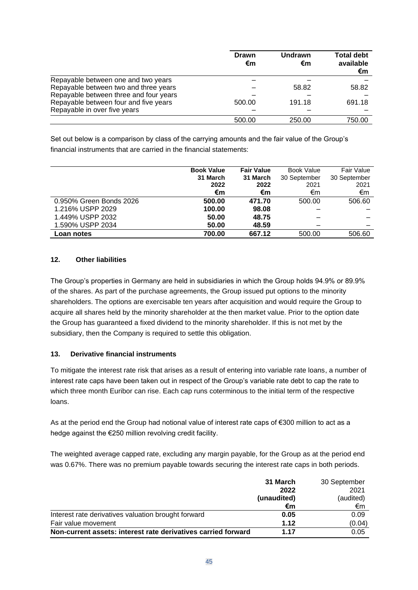|                                        | <b>Drawn</b><br>€m | Undrawn<br>€m | <b>Total debt</b><br>available<br>€m |  |
|----------------------------------------|--------------------|---------------|--------------------------------------|--|
| Repayable between one and two years    |                    |               |                                      |  |
| Repayable between two and three years  |                    | 58.82         | 58.82                                |  |
| Repayable between three and four years |                    |               |                                      |  |
| Repayable between four and five years  | 500.00             | 191.18        | 691.18                               |  |
| Repayable in over five years           |                    |               |                                      |  |
|                                        | 500.00             | 250.00        | 750.00                               |  |

Set out below is a comparison by class of the carrying amounts and the fair value of the Group's financial instruments that are carried in the financial statements:

|                         | <b>Book Value</b> | <b>Fair Value</b> | Book Value   | Fair Value   |
|-------------------------|-------------------|-------------------|--------------|--------------|
|                         | 31 March          | 31 March          | 30 September | 30 September |
|                         | 2022              | 2022              | 2021         | 2021         |
|                         | €m                | €m                | €m           | €m           |
| 0.950% Green Bonds 2026 | 500.00            | 471.70            | 500.00       | 506.60       |
| 1.216% USPP 2029        | 100.00            | 98.08             |              |              |
| 1.449% USPP 2032        | 50.00             | 48.75             |              |              |
| 1.590% USPP 2034        | 50.00             | 48.59             |              |              |
| Loan notes              | 700.00            | 667.12            | 500.00       | 506.60       |

## **12. Other liabilities**

The Group's properties in Germany are held in subsidiaries in which the Group holds 94.9% or 89.9% of the shares. As part of the purchase agreements, the Group issued put options to the minority shareholders. The options are exercisable ten years after acquisition and would require the Group to acquire all shares held by the minority shareholder at the then market value. Prior to the option date the Group has guaranteed a fixed dividend to the minority shareholder. If this is not met by the subsidiary, then the Company is required to settle this obligation.

# **13. Derivative financial instruments**

To mitigate the interest rate risk that arises as a result of entering into variable rate loans, a number of interest rate caps have been taken out in respect of the Group's variable rate debt to cap the rate to which three month Euribor can rise. Each cap runs coterminous to the initial term of the respective loans.

As at the period end the Group had notional value of interest rate caps of €300 million to act as a hedge against the €250 million revolving credit facility.

The weighted average capped rate, excluding any margin payable, for the Group as at the period end was 0.67%. There was no premium payable towards securing the interest rate caps in both periods.

|                                                               | 31 March    | 30 September |
|---------------------------------------------------------------|-------------|--------------|
|                                                               | 2022        | 2021         |
|                                                               | (unaudited) | (audited)    |
|                                                               | €m          | €m           |
| Interest rate derivatives valuation brought forward           | 0.05        | 0.09         |
| Fair value movement                                           | 1.12        | (0.04)       |
| Non-current assets: interest rate derivatives carried forward | 1.17        | 0.05         |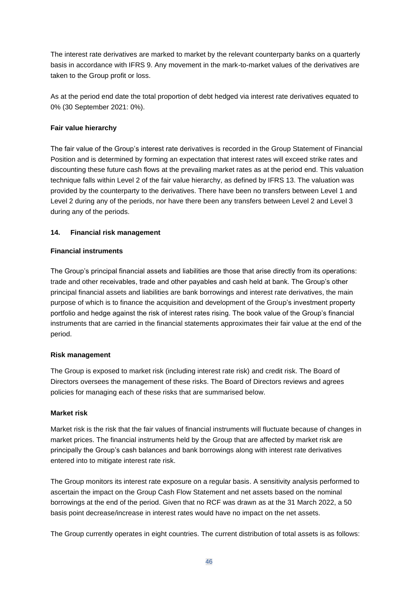The interest rate derivatives are marked to market by the relevant counterparty banks on a quarterly basis in accordance with IFRS 9. Any movement in the mark-to-market values of the derivatives are taken to the Group profit or loss.

As at the period end date the total proportion of debt hedged via interest rate derivatives equated to 0% (30 September 2021: 0%).

#### **Fair value hierarchy**

The fair value of the Group's interest rate derivatives is recorded in the Group Statement of Financial Position and is determined by forming an expectation that interest rates will exceed strike rates and discounting these future cash flows at the prevailing market rates as at the period end. This valuation technique falls within Level 2 of the fair value hierarchy, as defined by IFRS 13. The valuation was provided by the counterparty to the derivatives. There have been no transfers between Level 1 and Level 2 during any of the periods, nor have there been any transfers between Level 2 and Level 3 during any of the periods.

## **14. Financial risk management**

#### **Financial instruments**

The Group's principal financial assets and liabilities are those that arise directly from its operations: trade and other receivables, trade and other payables and cash held at bank. The Group's other principal financial assets and liabilities are bank borrowings and interest rate derivatives, the main purpose of which is to finance the acquisition and development of the Group's investment property portfolio and hedge against the risk of interest rates rising. The book value of the Group's financial instruments that are carried in the financial statements approximates their fair value at the end of the period.

#### **Risk management**

The Group is exposed to market risk (including interest rate risk) and credit risk. The Board of Directors oversees the management of these risks. The Board of Directors reviews and agrees policies for managing each of these risks that are summarised below.

#### **Market risk**

Market risk is the risk that the fair values of financial instruments will fluctuate because of changes in market prices. The financial instruments held by the Group that are affected by market risk are principally the Group's cash balances and bank borrowings along with interest rate derivatives entered into to mitigate interest rate risk.

The Group monitors its interest rate exposure on a regular basis. A sensitivity analysis performed to ascertain the impact on the Group Cash Flow Statement and net assets based on the nominal borrowings at the end of the period. Given that no RCF was drawn as at the 31 March 2022, a 50 basis point decrease/increase in interest rates would have no impact on the net assets.

The Group currently operates in eight countries. The current distribution of total assets is as follows: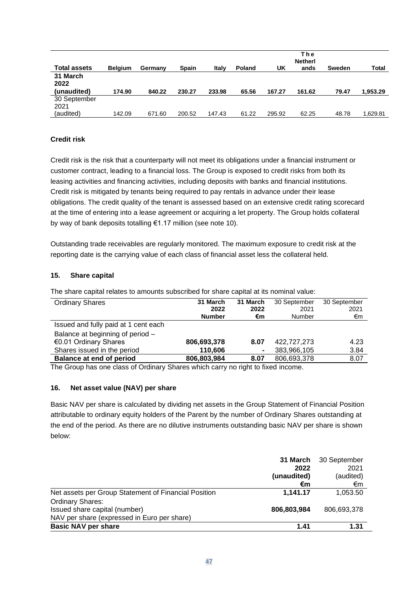|                      |                |         |              |        |               |        | The<br><b>Netherl</b> |        |              |
|----------------------|----------------|---------|--------------|--------|---------------|--------|-----------------------|--------|--------------|
| <b>Total assets</b>  | <b>Belgium</b> | Germany | <b>Spain</b> | Italy  | <b>Poland</b> | UK     | ands                  | Sweden | <b>Total</b> |
| 31 March<br>2022     |                |         |              |        |               |        |                       |        |              |
| (unaudited)          | 174.90         | 840.22  | 230.27       | 233.98 | 65.56         | 167.27 | 161.62                | 79.47  | 1.953.29     |
| 30 September<br>2021 |                |         |              |        |               |        |                       |        |              |
| (audited)            | 142.09         | 671.60  | 200.52       | 147.43 | 61.22         | 295.92 | 62.25                 | 48.78  | 1,629.81     |

# **Credit risk**

Credit risk is the risk that a counterparty will not meet its obligations under a financial instrument or customer contract, leading to a financial loss. The Group is exposed to credit risks from both its leasing activities and financing activities, including deposits with banks and financial institutions. Credit risk is mitigated by tenants being required to pay rentals in advance under their lease obligations. The credit quality of the tenant is assessed based on an extensive credit rating scorecard at the time of entering into a lease agreement or acquiring a let property. The Group holds collateral by way of bank deposits totalling €1.17 million (see note 10).

Outstanding trade receivables are regularly monitored. The maximum exposure to credit risk at the reporting date is the carrying value of each class of financial asset less the collateral held.

#### **15. Share capital**

The share capital relates to amounts subscribed for share capital at its nominal value:

| <b>Ordinary Shares</b>               | 31 March      | 31 March | 30 September | 30 September |
|--------------------------------------|---------------|----------|--------------|--------------|
|                                      | 2022          | 2022     | 2021         | 2021         |
|                                      | <b>Number</b> | €m       | Number       | €m           |
| Issued and fully paid at 1 cent each |               |          |              |              |
| Balance at beginning of period -     |               |          |              |              |
| €0.01 Ordinary Shares                | 806,693,378   | 8.07     | 422,727,273  | 4.23         |
| Shares issued in the period          | 110,606       | ۰        | 383,966,105  | 3.84         |
| <b>Balance at end of period</b>      | 806,803,984   | 8.07     | 806,693,378  | 8.07         |

The Group has one class of Ordinary Shares which carry no right to fixed income.

#### **16. Net asset value (NAV) per share**

Basic NAV per share is calculated by dividing net assets in the Group Statement of Financial Position attributable to ordinary equity holders of the Parent by the number of Ordinary Shares outstanding at the end of the period. As there are no dilutive instruments outstanding basic NAV per share is shown below:

|                                                      | 31 March<br>2022<br>(unaudited) | 30 September<br>2021<br>(audited) |
|------------------------------------------------------|---------------------------------|-----------------------------------|
|                                                      | €m                              | €m                                |
| Net assets per Group Statement of Financial Position | 1.141.17                        | 1,053.50                          |
| <b>Ordinary Shares:</b>                              |                                 |                                   |
| Issued share capital (number)                        | 806,803,984                     | 806.693.378                       |
| NAV per share (expressed in Euro per share)          |                                 |                                   |
| <b>Basic NAV per share</b>                           | 1.41                            | 1.31                              |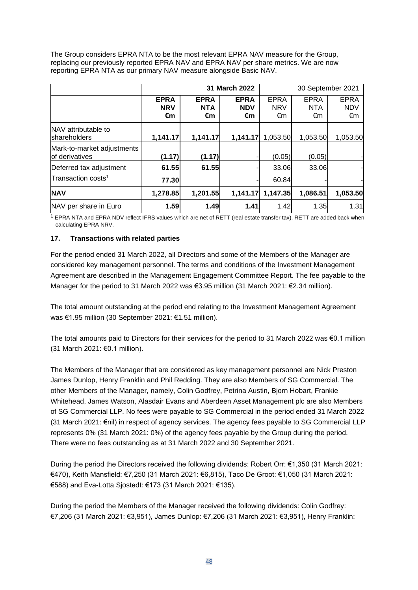The Group considers EPRA NTA to be the most relevant EPRA NAV measure for the Group, replacing our previously reported EPRA NAV and EPRA NAV per share metrics. We are now reporting EPRA NTA as our primary NAV measure alongside Basic NAV.

|                                              | 31 March 2022                   |                                 |                                 | 30 September 2021               |                                 |                                 |  |
|----------------------------------------------|---------------------------------|---------------------------------|---------------------------------|---------------------------------|---------------------------------|---------------------------------|--|
|                                              | <b>EPRA</b><br><b>NRV</b><br>€m | <b>EPRA</b><br><b>NTA</b><br>€m | <b>EPRA</b><br><b>NDV</b><br>€m | <b>EPRA</b><br><b>NRV</b><br>€m | <b>EPRA</b><br><b>NTA</b><br>€m | <b>EPRA</b><br><b>NDV</b><br>€m |  |
| NAV attributable to<br><b>shareholders</b>   | 1,141.17                        | 1,141.17                        | 1,141.17                        | 1,053.50                        | 1,053.50                        | 1,053.50                        |  |
| Mark-to-market adjustments<br>of derivatives | (1.17)                          | (1.17)                          |                                 | (0.05)                          | (0.05)                          |                                 |  |
| Deferred tax adjustment                      | 61.55                           | 61.55                           |                                 | 33.06                           | 33.06                           |                                 |  |
| Transaction costs <sup>1</sup>               | 77.30                           |                                 |                                 | 60.84                           |                                 |                                 |  |
| <b>NAV</b>                                   | 1,278.85                        | 1,201.55                        | 1,141.17                        | 1,147.35                        | 1,086.51                        | 1,053.50                        |  |
| NAV per share in Euro                        | 1.59                            | 1.49                            | 1.41                            | 1.42                            | 1.35                            | 1.31                            |  |

<sup>1</sup> EPRA NTA and EPRA NDV reflect IFRS values which are net of RETT (real estate transfer tax). RETT are added back when calculating EPRA NRV.

## **17. Transactions with related parties**

For the period ended 31 March 2022, all Directors and some of the Members of the Manager are considered key management personnel. The terms and conditions of the Investment Management Agreement are described in the Management Engagement Committee Report. The fee payable to the Manager for the period to 31 March 2022 was €3.95 million (31 March 2021: €2.34 million).

The total amount outstanding at the period end relating to the Investment Management Agreement was €1.95 million (30 September 2021: €1.51 million).

The total amounts paid to Directors for their services for the period to 31 March 2022 was €0.1 million (31 March 2021: €0.1 million).

The Members of the Manager that are considered as key management personnel are Nick Preston James Dunlop, Henry Franklin and Phil Redding. They are also Members of SG Commercial. The other Members of the Manager, namely, Colin Godfrey, Petrina Austin, Bjorn Hobart, Frankie Whitehead, James Watson, Alasdair Evans and Aberdeen Asset Management plc are also Members of SG Commercial LLP. No fees were payable to SG Commercial in the period ended 31 March 2022 (31 March 2021: €nil) in respect of agency services. The agency fees payable to SG Commercial LLP represents 0% (31 March 2021: 0%) of the agency fees payable by the Group during the period. There were no fees outstanding as at 31 March 2022 and 30 September 2021.

During the period the Directors received the following dividends: Robert Orr: €1,350 (31 March 2021: €470), Keith Mansfield: €7,250 (31 March 2021: €6,815), Taco De Groot: €1,050 (31 March 2021: €588) and Eva-Lotta Sjostedt: €173 (31 March 2021: €135).

During the period the Members of the Manager received the following dividends: Colin Godfrey: €7,206 (31 March 2021: €3,951), James Dunlop: €7,206 (31 March 2021: €3,951), Henry Franklin: